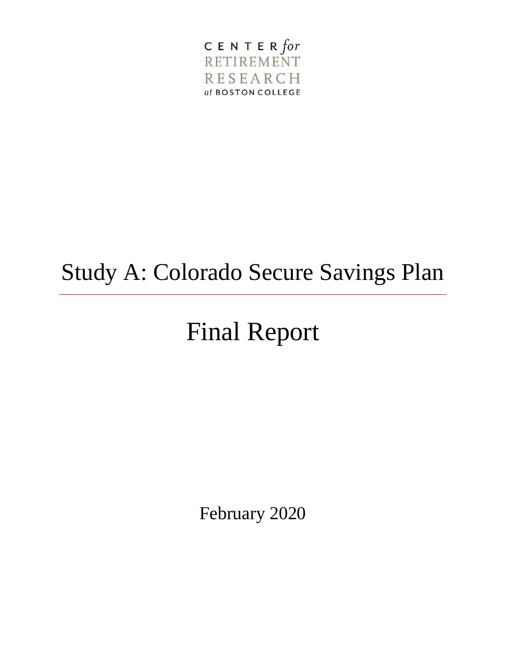

## Study A: Colorado Secure Savings Plan

# Final Report

February 2020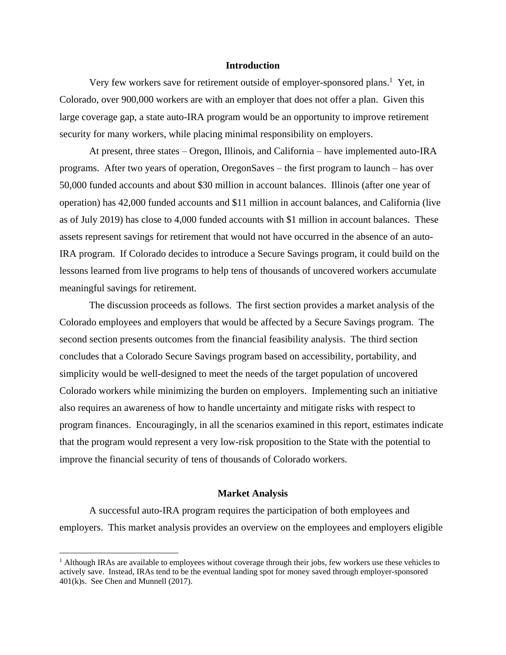#### **Introduction**

Very few workers save for retirement outside of employer-sponsored plans.<sup>1</sup> Yet, in Colorado, over 900,000 workers are with an employer that does not offer a plan. Given this large coverage gap, a state auto-IRA program would be an opportunity to improve retirement security for many workers, while placing minimal responsibility on employers.

At present, three states – Oregon, Illinois, and California – have implemented auto-IRA programs. After two years of operation, OregonSaves – the first program to launch – has over 50,000 funded accounts and about \$30 million in account balances. Illinois (after one year of operation) has 42,000 funded accounts and \$11 million in account balances, and California (live as of July 2019) has close to 4,000 funded accounts with \$1 million in account balances. These assets represent savings for retirement that would not have occurred in the absence of an auto-IRA program. If Colorado decides to introduce a Secure Savings program, it could build on the lessons learned from live programs to help tens of thousands of uncovered workers accumulate meaningful savings for retirement.

The discussion proceeds as follows. The first section provides a market analysis of the Colorado employees and employers that would be affected by a Secure Savings program. The second section presents outcomes from the financial feasibility analysis. The third section concludes that a Colorado Secure Savings program based on accessibility, portability, and simplicity would be well-designed to meet the needs of the target population of uncovered Colorado workers while minimizing the burden on employers. Implementing such an initiative also requires an awareness of how to handle uncertainty and mitigate risks with respect to program finances. Encouragingly, in all the scenarios examined in this report, estimates indicate that the program would represent a very low-risk proposition to the State with the potential to improve the financial security of tens of thousands of Colorado workers.

#### **Market Analysis**

A successful auto-IRA program requires the participation of both employees and employers. This market analysis provides an overview on the employees and employers eligible

 $<sup>1</sup>$  Although IRAs are available to employees without coverage through their jobs, few workers use these vehicles to</sup> actively save. Instead, IRAs tend to be the eventual landing spot for money saved through employer-sponsored 401(k)s. See Chen and Munnell (2017).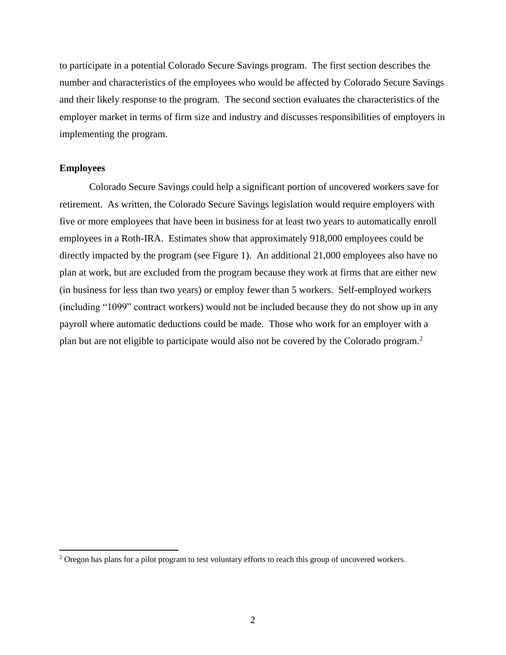to participate in a potential Colorado Secure Savings program. The first section describes the number and characteristics of the employees who would be affected by Colorado Secure Savings and their likely response to the program. The second section evaluates the characteristics of the employer market in terms of firm size and industry and discusses responsibilities of employers in implementing the program.

## **Employees**

 $\overline{\phantom{a}}$ 

Colorado Secure Savings could help a significant portion of uncovered workers save for retirement. As written, the Colorado Secure Savings legislation would require employers with five or more employees that have been in business for at least two years to automatically enroll employees in a Roth-IRA. Estimates show that approximately 918,000 employees could be directly impacted by the program (see Figure 1). An additional 21,000 employees also have no plan at work, but are excluded from the program because they work at firms that are either new (in business for less than two years) or employ fewer than 5 workers. Self-employed workers (including "1099" contract workers) would not be included because they do not show up in any payroll where automatic deductions could be made. Those who work for an employer with a plan but are not eligible to participate would also not be covered by the Colorado program.<sup>2</sup>

<sup>&</sup>lt;sup>2</sup> Oregon has plans for a pilot program to test voluntary efforts to reach this group of uncovered workers.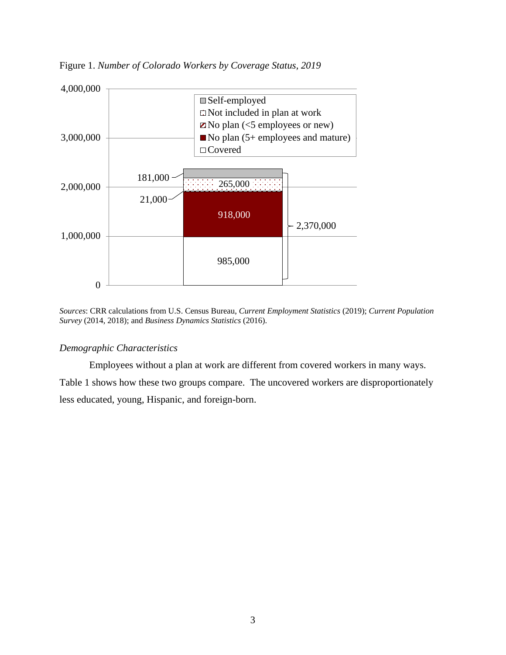

Figure 1. *Number of Colorado Workers by Coverage Status, 2019*

*Sources*: CRR calculations from U.S. Census Bureau, *Current Employment Statistics* (2019); *Current Population Survey* (2014, 2018); and *Business Dynamics Statistics* (2016).

## *Demographic Characteristics*

Employees without a plan at work are different from covered workers in many ways. Table 1 shows how these two groups compare. The uncovered workers are disproportionately less educated, young, Hispanic, and foreign-born.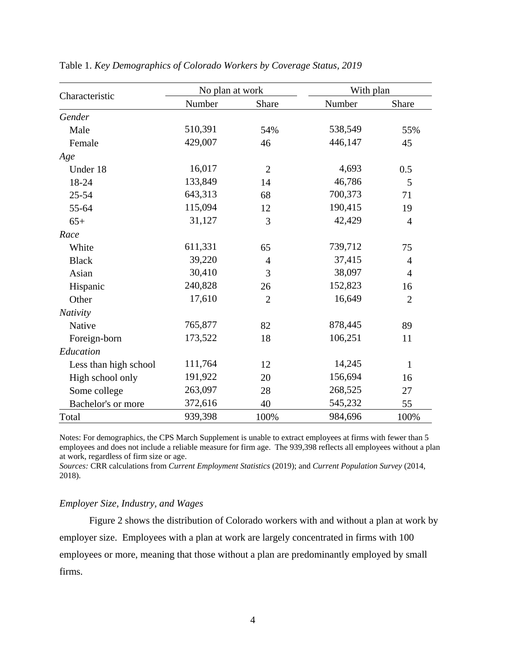|                       | No plan at work |                | With plan |                |
|-----------------------|-----------------|----------------|-----------|----------------|
| Characteristic        | Number          | Share          | Number    | Share          |
| Gender                |                 |                |           |                |
| Male                  | 510,391         | 54%            | 538,549   | 55%            |
| Female                | 429,007         | 46             | 446,147   | 45             |
| Age                   |                 |                |           |                |
| Under 18              | 16,017          | $\overline{2}$ | 4,693     | 0.5            |
| 18-24                 | 133,849         | 14             | 46,786    | 5              |
| $25 - 54$             | 643,313         | 68             | 700,373   | 71             |
| 55-64                 | 115,094         | 12             | 190,415   | 19             |
| $65+$                 | 31,127          | 3              | 42,429    | $\overline{4}$ |
| Race                  |                 |                |           |                |
| White                 | 611,331         | 65             | 739,712   | 75             |
| <b>Black</b>          | 39,220          | $\overline{4}$ | 37,415    | $\overline{4}$ |
| Asian                 | 30,410          | 3              | 38,097    | $\overline{4}$ |
| Hispanic              | 240,828         | 26             | 152,823   | 16             |
| Other                 | 17,610          | $\overline{2}$ | 16,649    | $\overline{2}$ |
| Nativity              |                 |                |           |                |
| Native                | 765,877         | 82             | 878,445   | 89             |
| Foreign-born          | 173,522         | 18             | 106,251   | 11             |
| Education             |                 |                |           |                |
| Less than high school | 111,764         | 12             | 14,245    | $\mathbf{1}$   |
| High school only      | 191,922         | 20             | 156,694   | 16             |
| Some college          | 263,097         | 28             | 268,525   | 27             |
| Bachelor's or more    | 372,616         | 40             | 545,232   | 55             |
| Total                 | 939,398         | 100%           | 984,696   | 100%           |

Table 1. *Key Demographics of Colorado Workers by Coverage Status, 2019*

Notes: For demographics, the CPS March Supplement is unable to extract employees at firms with fewer than 5 employees and does not include a reliable measure for firm age. The 939,398 reflects all employees without a plan at work, regardless of firm size or age.

*Sources:* CRR calculations from *Current Employment Statistics* (2019); and *Current Population Survey* (2014, 2018).

#### *Employer Size, Industry, and Wages*

Figure 2 shows the distribution of Colorado workers with and without a plan at work by employer size. Employees with a plan at work are largely concentrated in firms with 100 employees or more, meaning that those without a plan are predominantly employed by small firms.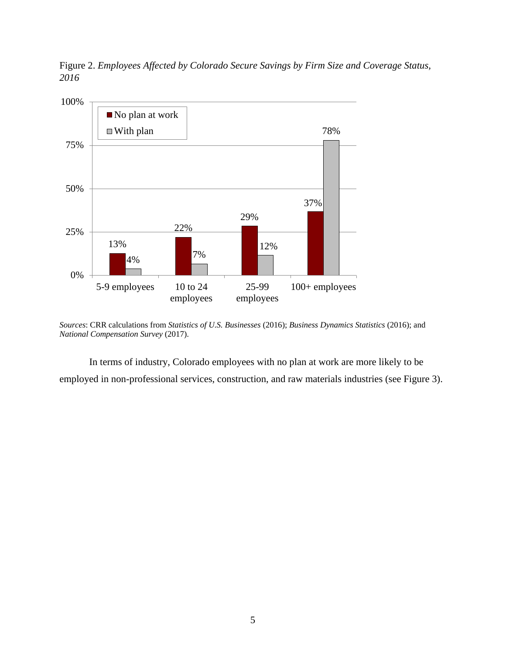Figure 2. *Employees Affected by Colorado Secure Savings by Firm Size and Coverage Status, 2016*



*Sources*: CRR calculations from *Statistics of U.S. Businesses* (2016); *Business Dynamics Statistics* (2016); and *National Compensation Survey* (2017).

In terms of industry, Colorado employees with no plan at work are more likely to be employed in non-professional services, construction, and raw materials industries (see Figure 3).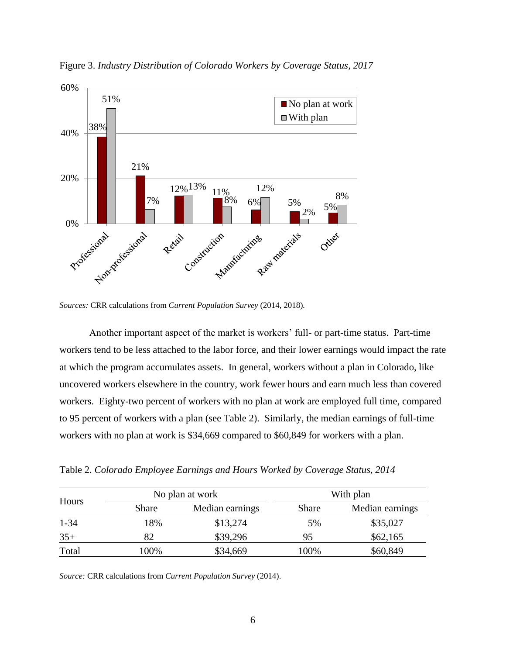

Figure 3. *Industry Distribution of Colorado Workers by Coverage Status, 2017*

*Sources:* CRR calculations from *Current Population Survey* (2014, 2018)*.*

Another important aspect of the market is workers' full- or part-time status. Part-time workers tend to be less attached to the labor force, and their lower earnings would impact the rate at which the program accumulates assets. In general, workers without a plan in Colorado, like uncovered workers elsewhere in the country, work fewer hours and earn much less than covered workers. Eighty-two percent of workers with no plan at work are employed full time, compared to 95 percent of workers with a plan (see Table 2). Similarly, the median earnings of full-time workers with no plan at work is \$34,669 compared to \$60,849 for workers with a plan.

Table 2. *Colorado Employee Earnings and Hours Worked by Coverage Status, 2014*

| No plan at work |              | With plan       |       |                 |
|-----------------|--------------|-----------------|-------|-----------------|
| Hours           | <b>Share</b> | Median earnings | Share | Median earnings |
| $1 - 34$        | 18%          | \$13,274        | 5%    | \$35,027        |
| $35+$           | 82           | \$39,296        | 95    | \$62,165        |
| Total           | 100%         | \$34,669        | 100%  | \$60,849        |

*Source:* CRR calculations from *Current Population Survey* (2014).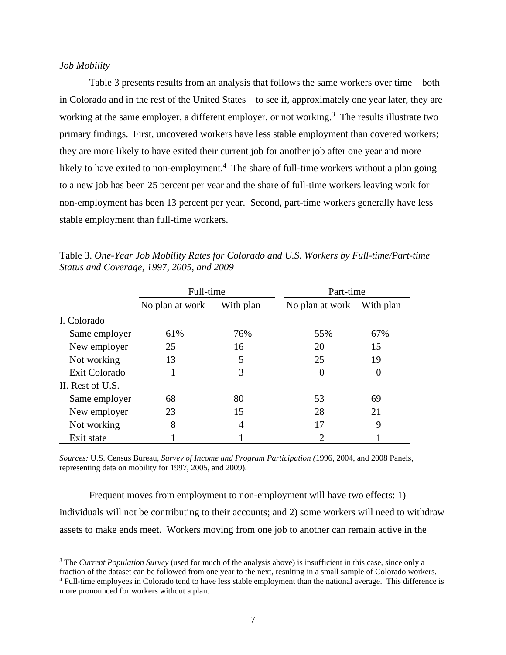## *Job Mobility*

 $\overline{\phantom{a}}$ 

Table 3 presents results from an analysis that follows the same workers over time – both in Colorado and in the rest of the United States – to see if, approximately one year later, they are working at the same employer, a different employer, or not working.<sup>3</sup> The results illustrate two primary findings. First, uncovered workers have less stable employment than covered workers; they are more likely to have exited their current job for another job after one year and more likely to have exited to non-employment.<sup>4</sup> The share of full-time workers without a plan going to a new job has been 25 percent per year and the share of full-time workers leaving work for non-employment has been 13 percent per year. Second, part-time workers generally have less stable employment than full-time workers.

|                  | Full-time       |                | Part-time       |           |
|------------------|-----------------|----------------|-----------------|-----------|
|                  | No plan at work | With plan      | No plan at work | With plan |
| I. Colorado      |                 |                |                 |           |
| Same employer    | 61\%            | 76%            | 55%             | 67%       |
| New employer     | 25              | 16             | 20              | 15        |
| Not working      | 13              | 5              | 25              | 19        |
| Exit Colorado    |                 | 3              | 0               | $\theta$  |
| II. Rest of U.S. |                 |                |                 |           |
| Same employer    | 68              | 80             | 53              | 69        |
| New employer     | 23              | 15             | 28              | 21        |
| Not working      | 8               | $\overline{A}$ | 17              | 9         |
| Exit state       |                 |                | 2               |           |

Table 3. *One-Year Job Mobility Rates for Colorado and U.S. Workers by Full-time/Part-time Status and Coverage, 1997, 2005, and 2009*

*Sources:* U.S. Census Bureau, *Survey of Income and Program Participation (*1996, 2004, and 2008 Panels, representing data on mobility for 1997, 2005, and 2009).

Frequent moves from employment to non-employment will have two effects: 1) individuals will not be contributing to their accounts; and 2) some workers will need to withdraw assets to make ends meet. Workers moving from one job to another can remain active in the

<sup>&</sup>lt;sup>3</sup> The *Current Population Survey* (used for much of the analysis above) is insufficient in this case, since only a fraction of the dataset can be followed from one year to the next, resulting in a small sample of Colorado workers.

<sup>4</sup> Full-time employees in Colorado tend to have less stable employment than the national average. This difference is more pronounced for workers without a plan.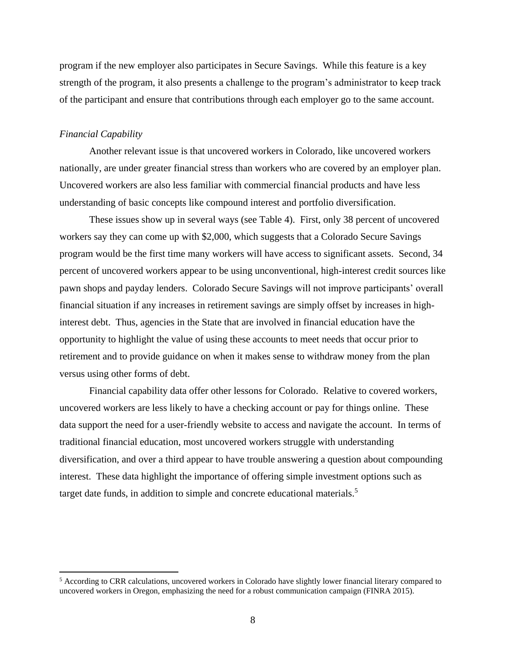program if the new employer also participates in Secure Savings. While this feature is a key strength of the program, it also presents a challenge to the program's administrator to keep track of the participant and ensure that contributions through each employer go to the same account.

#### *Financial Capability*

 $\overline{\phantom{a}}$ 

Another relevant issue is that uncovered workers in Colorado, like uncovered workers nationally, are under greater financial stress than workers who are covered by an employer plan. Uncovered workers are also less familiar with commercial financial products and have less understanding of basic concepts like compound interest and portfolio diversification.

These issues show up in several ways (see Table 4). First, only 38 percent of uncovered workers say they can come up with \$2,000, which suggests that a Colorado Secure Savings program would be the first time many workers will have access to significant assets. Second, 34 percent of uncovered workers appear to be using unconventional, high-interest credit sources like pawn shops and payday lenders. Colorado Secure Savings will not improve participants' overall financial situation if any increases in retirement savings are simply offset by increases in highinterest debt. Thus, agencies in the State that are involved in financial education have the opportunity to highlight the value of using these accounts to meet needs that occur prior to retirement and to provide guidance on when it makes sense to withdraw money from the plan versus using other forms of debt.

Financial capability data offer other lessons for Colorado. Relative to covered workers, uncovered workers are less likely to have a checking account or pay for things online. These data support the need for a user-friendly website to access and navigate the account. In terms of traditional financial education, most uncovered workers struggle with understanding diversification, and over a third appear to have trouble answering a question about compounding interest. These data highlight the importance of offering simple investment options such as target date funds, in addition to simple and concrete educational materials.<sup>5</sup>

<sup>5</sup> According to CRR calculations, uncovered workers in Colorado have slightly lower financial literary compared to uncovered workers in Oregon, emphasizing the need for a robust communication campaign (FINRA 2015).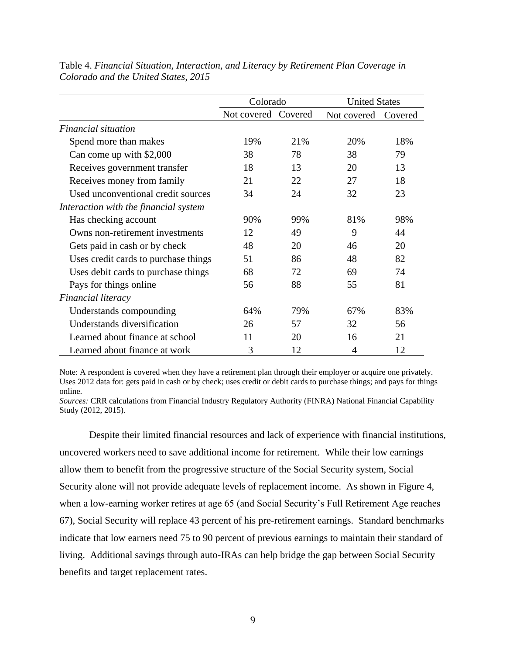|                                       | Colorado            |     | <b>United States</b> |         |
|---------------------------------------|---------------------|-----|----------------------|---------|
|                                       | Not covered Covered |     | Not covered          | Covered |
| Financial situation                   |                     |     |                      |         |
| Spend more than makes                 | 19%                 | 21% | 20%                  | 18%     |
| Can come up with \$2,000              | 38                  | 78  | 38                   | 79      |
| Receives government transfer          | 18                  | 13  | 20                   | 13      |
| Receives money from family            | 21                  | 22  | 27                   | 18      |
| Used unconventional credit sources    | 34                  | 24  | 32                   | 23      |
| Interaction with the financial system |                     |     |                      |         |
| Has checking account                  | 90%                 | 99% | 81%                  | 98%     |
| Owns non-retirement investments       | 12                  | 49  | 9                    | 44      |
| Gets paid in cash or by check         | 48                  | 20  | 46                   | 20      |
| Uses credit cards to purchase things  | 51                  | 86  | 48                   | 82      |
| Uses debit cards to purchase things   | 68                  | 72  | 69                   | 74      |
| Pays for things online                | 56                  | 88  | 55                   | 81      |
| Financial literacy                    |                     |     |                      |         |
| Understands compounding               | 64%                 | 79% | 67%                  | 83%     |
| Understands diversification           | 26                  | 57  | 32                   | 56      |
| Learned about finance at school       | 11                  | 20  | 16                   | 21      |
| Learned about finance at work         | 3                   | 12  | 4                    | 12      |

Table 4. *Financial Situation, Interaction, and Literacy by Retirement Plan Coverage in Colorado and the United States, 2015*

Note: A respondent is covered when they have a retirement plan through their employer or acquire one privately. Uses 2012 data for: gets paid in cash or by check; uses credit or debit cards to purchase things; and pays for things online.

*Sources:* CRR calculations from Financial Industry Regulatory Authority (FINRA) National Financial Capability Study (2012, 2015).

Despite their limited financial resources and lack of experience with financial institutions, uncovered workers need to save additional income for retirement. While their low earnings allow them to benefit from the progressive structure of the Social Security system, Social Security alone will not provide adequate levels of replacement income. As shown in Figure 4, when a low-earning worker retires at age 65 (and Social Security's Full Retirement Age reaches 67), Social Security will replace 43 percent of his pre-retirement earnings. Standard benchmarks indicate that low earners need 75 to 90 percent of previous earnings to maintain their standard of living. Additional savings through auto-IRAs can help bridge the gap between Social Security benefits and target replacement rates.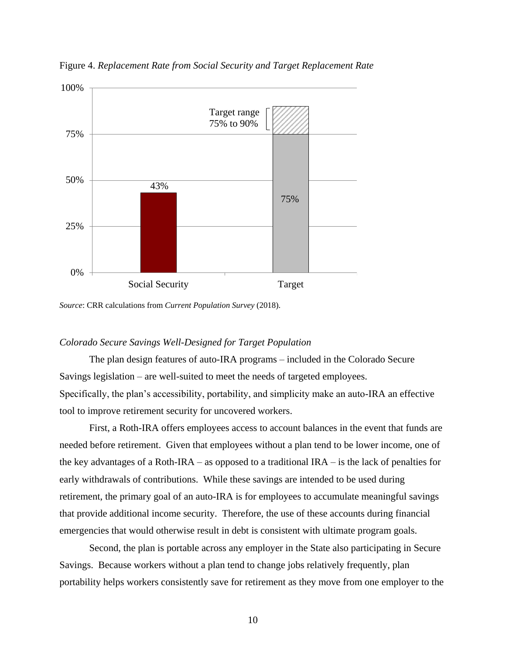

Figure 4. *Replacement Rate from Social Security and Target Replacement Rate*

*Source*: CRR calculations from *Current Population Survey* (2018).

#### *Colorado Secure Savings Well-Designed for Target Population*

The plan design features of auto-IRA programs – included in the Colorado Secure Savings legislation – are well-suited to meet the needs of targeted employees. Specifically, the plan's accessibility, portability, and simplicity make an auto-IRA an effective tool to improve retirement security for uncovered workers.

First, a Roth-IRA offers employees access to account balances in the event that funds are needed before retirement. Given that employees without a plan tend to be lower income, one of the key advantages of a Roth-IRA – as opposed to a traditional IRA – is the lack of penalties for early withdrawals of contributions. While these savings are intended to be used during retirement, the primary goal of an auto-IRA is for employees to accumulate meaningful savings that provide additional income security. Therefore, the use of these accounts during financial emergencies that would otherwise result in debt is consistent with ultimate program goals.

Second, the plan is portable across any employer in the State also participating in Secure Savings. Because workers without a plan tend to change jobs relatively frequently, plan portability helps workers consistently save for retirement as they move from one employer to the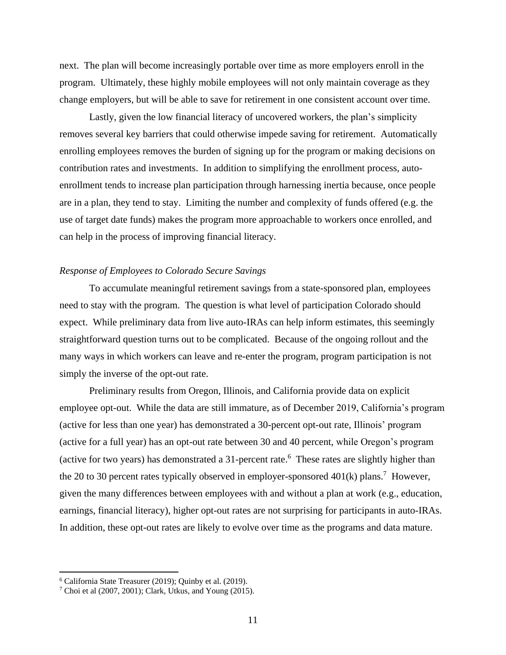next. The plan will become increasingly portable over time as more employers enroll in the program. Ultimately, these highly mobile employees will not only maintain coverage as they change employers, but will be able to save for retirement in one consistent account over time.

Lastly, given the low financial literacy of uncovered workers, the plan's simplicity removes several key barriers that could otherwise impede saving for retirement. Automatically enrolling employees removes the burden of signing up for the program or making decisions on contribution rates and investments. In addition to simplifying the enrollment process, autoenrollment tends to increase plan participation through harnessing inertia because, once people are in a plan, they tend to stay. Limiting the number and complexity of funds offered (e.g. the use of target date funds) makes the program more approachable to workers once enrolled, and can help in the process of improving financial literacy.

## *Response of Employees to Colorado Secure Savings*

To accumulate meaningful retirement savings from a state-sponsored plan, employees need to stay with the program. The question is what level of participation Colorado should expect. While preliminary data from live auto-IRAs can help inform estimates, this seemingly straightforward question turns out to be complicated. Because of the ongoing rollout and the many ways in which workers can leave and re-enter the program, program participation is not simply the inverse of the opt-out rate.

Preliminary results from Oregon, Illinois, and California provide data on explicit employee opt-out. While the data are still immature, as of December 2019, California's program (active for less than one year) has demonstrated a 30-percent opt-out rate, Illinois' program (active for a full year) has an opt-out rate between 30 and 40 percent, while Oregon's program (active for two years) has demonstrated a 31-percent rate.<sup>6</sup> These rates are slightly higher than the 20 to 30 percent rates typically observed in employer-sponsored  $401(k)$  plans.<sup>7</sup> However, given the many differences between employees with and without a plan at work (e.g., education, earnings, financial literacy), higher opt-out rates are not surprising for participants in auto-IRAs. In addition, these opt-out rates are likely to evolve over time as the programs and data mature.

<sup>6</sup> California State Treasurer (2019); Quinby et al. (2019).

<sup>7</sup> Choi et al (2007, 2001); Clark, Utkus, and Young (2015).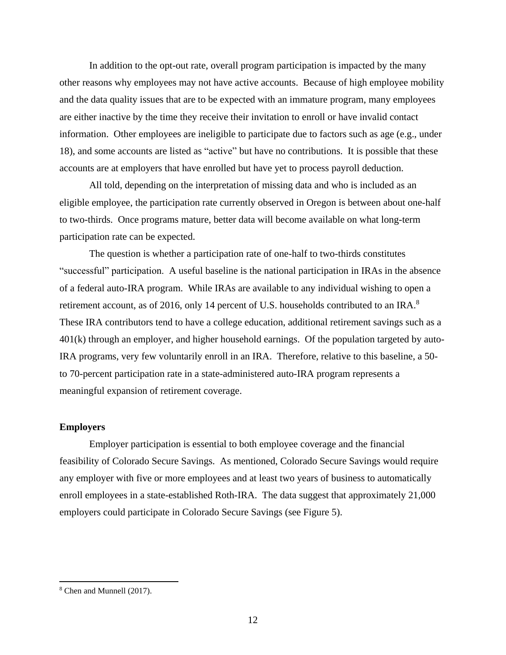In addition to the opt-out rate, overall program participation is impacted by the many other reasons why employees may not have active accounts. Because of high employee mobility and the data quality issues that are to be expected with an immature program, many employees are either inactive by the time they receive their invitation to enroll or have invalid contact information. Other employees are ineligible to participate due to factors such as age (e.g., under 18), and some accounts are listed as "active" but have no contributions. It is possible that these accounts are at employers that have enrolled but have yet to process payroll deduction.

All told, depending on the interpretation of missing data and who is included as an eligible employee, the participation rate currently observed in Oregon is between about one-half to two-thirds. Once programs mature, better data will become available on what long-term participation rate can be expected.

The question is whether a participation rate of one-half to two-thirds constitutes "successful" participation. A useful baseline is the national participation in IRAs in the absence of a federal auto-IRA program. While IRAs are available to any individual wishing to open a retirement account, as of 2016, only 14 percent of U.S. households contributed to an IRA. $8$ These IRA contributors tend to have a college education, additional retirement savings such as a 401(k) through an employer, and higher household earnings. Of the population targeted by auto-IRA programs, very few voluntarily enroll in an IRA. Therefore, relative to this baseline, a 50 to 70-percent participation rate in a state-administered auto-IRA program represents a meaningful expansion of retirement coverage.

## **Employers**

Employer participation is essential to both employee coverage and the financial feasibility of Colorado Secure Savings. As mentioned, Colorado Secure Savings would require any employer with five or more employees and at least two years of business to automatically enroll employees in a state-established Roth-IRA. The data suggest that approximately 21,000 employers could participate in Colorado Secure Savings (see Figure 5).

<sup>8</sup> Chen and Munnell (2017).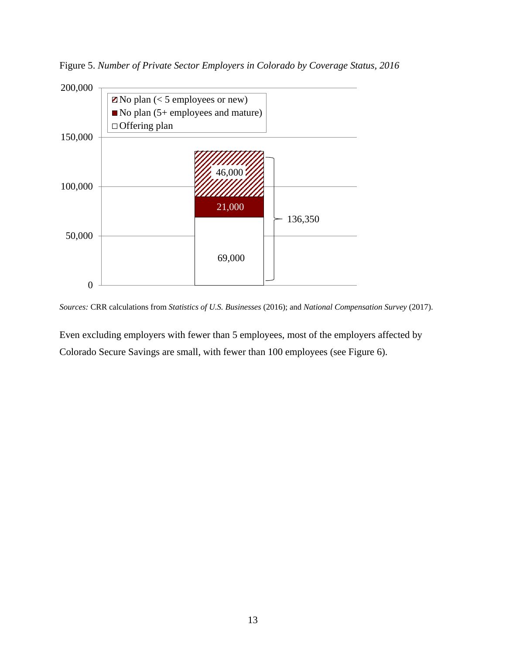Figure 5. *Number of Private Sector Employers in Colorado by Coverage Status, 2016*



*Sources:* CRR calculations from *Statistics of U.S. Businesses* (2016); and *National Compensation Survey* (2017).

Even excluding employers with fewer than 5 employees, most of the employers affected by Colorado Secure Savings are small, with fewer than 100 employees (see Figure 6).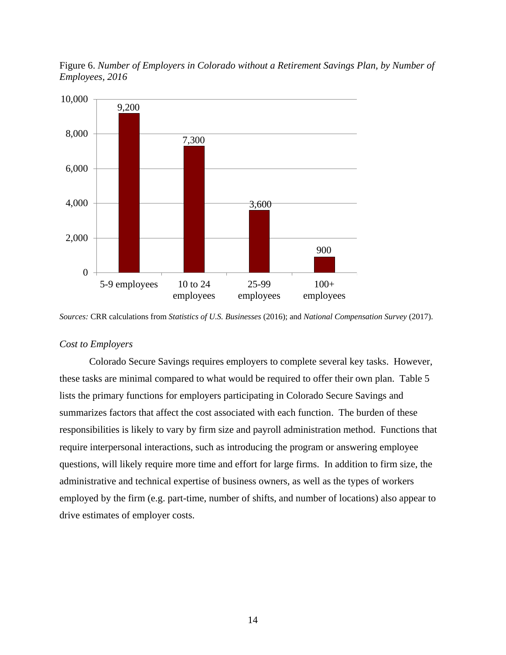

Figure 6. *Number of Employers in Colorado without a Retirement Savings Plan, by Number of Employees, 2016*

25-99 employees

100+ employees

#### *Cost to Employers*

5-9 employees 10 to 24

employees

0

Colorado Secure Savings requires employers to complete several key tasks. However, these tasks are minimal compared to what would be required to offer their own plan. Table 5 lists the primary functions for employers participating in Colorado Secure Savings and summarizes factors that affect the cost associated with each function. The burden of these responsibilities is likely to vary by firm size and payroll administration method. Functions that require interpersonal interactions, such as introducing the program or answering employee questions, will likely require more time and effort for large firms. In addition to firm size, the administrative and technical expertise of business owners, as well as the types of workers employed by the firm (e.g. part-time, number of shifts, and number of locations) also appear to drive estimates of employer costs.

*Sources:* CRR calculations from *Statistics of U.S. Businesses* (2016); and *National Compensation Survey* (2017).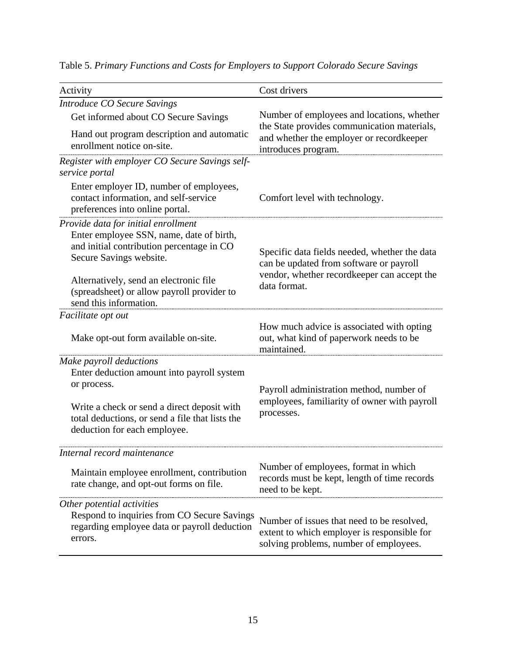| Activity                                                                                                                                                | Cost drivers                                                                                                                        |
|---------------------------------------------------------------------------------------------------------------------------------------------------------|-------------------------------------------------------------------------------------------------------------------------------------|
| Introduce CO Secure Savings                                                                                                                             |                                                                                                                                     |
| Get informed about CO Secure Savings                                                                                                                    | Number of employees and locations, whether                                                                                          |
| Hand out program description and automatic<br>enrollment notice on-site.                                                                                | the State provides communication materials,<br>and whether the employer or recordkeeper<br>introduces program.                      |
| Register with employer CO Secure Savings self-<br>service portal                                                                                        |                                                                                                                                     |
| Enter employer ID, number of employees,<br>contact information, and self-service<br>preferences into online portal.                                     | Comfort level with technology.                                                                                                      |
| Provide data for initial enrollment<br>Enter employee SSN, name, date of birth,<br>and initial contribution percentage in CO<br>Secure Savings website. | Specific data fields needed, whether the data<br>can be updated from software or payroll                                            |
| Alternatively, send an electronic file<br>(spreadsheet) or allow payroll provider to<br>send this information.                                          | vendor, whether recordkeeper can accept the<br>data format.                                                                         |
| Facilitate opt out                                                                                                                                      |                                                                                                                                     |
| Make opt-out form available on-site.                                                                                                                    | How much advice is associated with opting<br>out, what kind of paperwork needs to be<br>maintained.                                 |
| Make payroll deductions<br>Enter deduction amount into payroll system<br>or process.                                                                    | Payroll administration method, number of                                                                                            |
| Write a check or send a direct deposit with<br>total deductions, or send a file that lists the<br>deduction for each employee.                          | employees, familiarity of owner with payroll<br>processes.                                                                          |
| Internal record maintenance                                                                                                                             |                                                                                                                                     |
| Maintain employee enrollment, contribution<br>rate change, and opt-out forms on file.                                                                   | Number of employees, format in which<br>records must be kept, length of time records<br>need to be kept.                            |
| Other potential activities<br>Respond to inquiries from CO Secure Savings<br>regarding employee data or payroll deduction<br>errors.                    | Number of issues that need to be resolved,<br>extent to which employer is responsible for<br>solving problems, number of employees. |

Table 5. *Primary Functions and Costs for Employers to Support Colorado Secure Savings*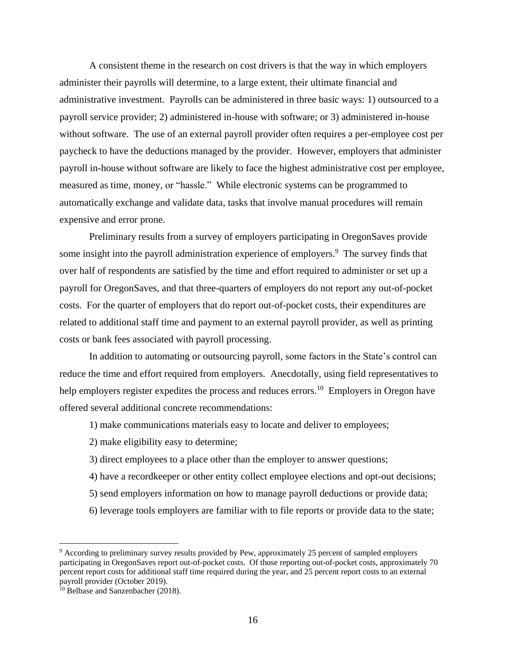A consistent theme in the research on cost drivers is that the way in which employers administer their payrolls will determine, to a large extent, their ultimate financial and administrative investment. Payrolls can be administered in three basic ways: 1) outsourced to a payroll service provider; 2) administered in-house with software; or 3) administered in-house without software. The use of an external payroll provider often requires a per-employee cost per paycheck to have the deductions managed by the provider. However, employers that administer payroll in-house without software are likely to face the highest administrative cost per employee, measured as time, money, or "hassle." While electronic systems can be programmed to automatically exchange and validate data, tasks that involve manual procedures will remain expensive and error prone.

Preliminary results from a survey of employers participating in OregonSaves provide some insight into the payroll administration experience of employers.<sup>9</sup> The survey finds that over half of respondents are satisfied by the time and effort required to administer or set up a payroll for OregonSaves, and that three-quarters of employers do not report any out-of-pocket costs. For the quarter of employers that do report out-of-pocket costs, their expenditures are related to additional staff time and payment to an external payroll provider, as well as printing costs or bank fees associated with payroll processing.

In addition to automating or outsourcing payroll, some factors in the State's control can reduce the time and effort required from employers. Anecdotally, using field representatives to help employers register expedites the process and reduces errors.<sup>10</sup> Employers in Oregon have offered several additional concrete recommendations:

- 1) make communications materials easy to locate and deliver to employees;
- 2) make eligibility easy to determine;
- 3) direct employees to a place other than the employer to answer questions;
- 4) have a recordkeeper or other entity collect employee elections and opt-out decisions;
- 5) send employers information on how to manage payroll deductions or provide data;
- 6) leverage tools employers are familiar with to file reports or provide data to the state;

<sup>9</sup> According to preliminary survey results provided by Pew, approximately 25 percent of sampled employers participating in OregonSaves report out-of-pocket costs. Of those reporting out-of-pocket costs, approximately 70 percent report costs for additional staff time required during the year, and 25 percent report costs to an external payroll provider (October 2019).

<sup>&</sup>lt;sup>10</sup> Belbase and Sanzenbacher (2018).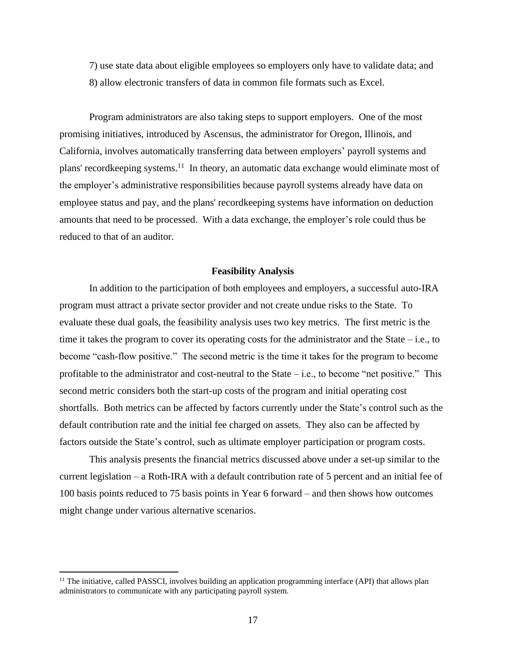7) use state data about eligible employees so employers only have to validate data; and 8) allow electronic transfers of data in common file formats such as Excel.

Program administrators are also taking steps to support employers. One of the most promising initiatives, introduced by Ascensus, the administrator for Oregon, Illinois, and California, involves automatically transferring data between employers' payroll systems and plans' recordkeeping systems.<sup>11</sup> In theory, an automatic data exchange would eliminate most of the employer's administrative responsibilities because payroll systems already have data on employee status and pay, and the plans' recordkeeping systems have information on deduction amounts that need to be processed. With a data exchange, the employer's role could thus be reduced to that of an auditor.

#### **Feasibility Analysis**

In addition to the participation of both employees and employers, a successful auto-IRA program must attract a private sector provider and not create undue risks to the State. To evaluate these dual goals, the feasibility analysis uses two key metrics. The first metric is the time it takes the program to cover its operating costs for the administrator and the State – i.e., to become "cash-flow positive." The second metric is the time it takes for the program to become profitable to the administrator and cost-neutral to the State – i.e., to become "net positive." This second metric considers both the start-up costs of the program and initial operating cost shortfalls. Both metrics can be affected by factors currently under the State's control such as the default contribution rate and the initial fee charged on assets. They also can be affected by factors outside the State's control, such as ultimate employer participation or program costs.

This analysis presents the financial metrics discussed above under a set-up similar to the current legislation – a Roth-IRA with a default contribution rate of 5 percent and an initial fee of 100 basis points reduced to 75 basis points in Year 6 forward – and then shows how outcomes might change under various alternative scenarios.

<sup>&</sup>lt;sup>11</sup> The initiative, called PASSCI, involves building an application programming interface (API) that allows plan administrators to communicate with any participating payroll system.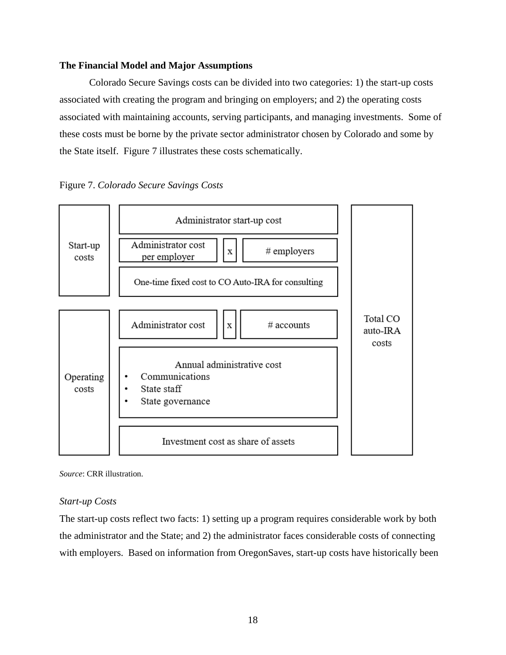## **The Financial Model and Major Assumptions**

Colorado Secure Savings costs can be divided into two categories: 1) the start-up costs associated with creating the program and bringing on employers; and 2) the operating costs associated with maintaining accounts, serving participants, and managing investments. Some of these costs must be borne by the private sector administrator chosen by Colorado and some by the State itself. Figure 7 illustrates these costs schematically.





*Source*: CRR illustration.

## *Start-up Costs*

The start-up costs reflect two facts: 1) setting up a program requires considerable work by both the administrator and the State; and 2) the administrator faces considerable costs of connecting with employers. Based on information from OregonSaves, start-up costs have historically been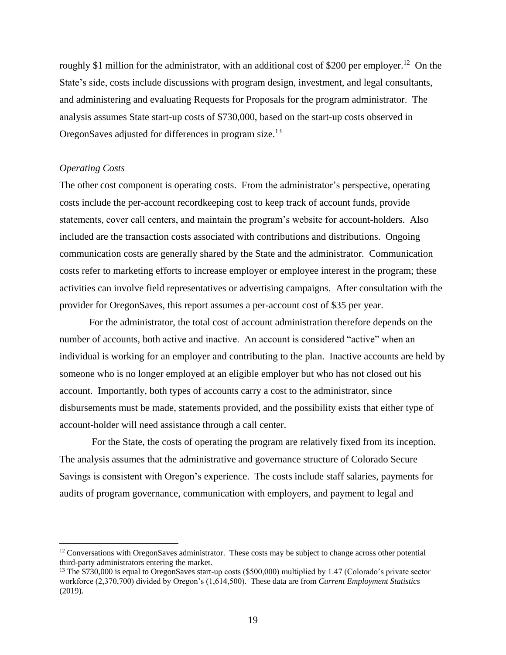roughly \$1 million for the administrator, with an additional cost of \$200 per employer.<sup>12</sup> On the State's side, costs include discussions with program design, investment, and legal consultants, and administering and evaluating Requests for Proposals for the program administrator. The analysis assumes State start-up costs of \$730,000, based on the start-up costs observed in OregonSaves adjusted for differences in program size.<sup>13</sup>

## *Operating Costs*

 $\overline{\phantom{a}}$ 

The other cost component is operating costs. From the administrator's perspective, operating costs include the per-account recordkeeping cost to keep track of account funds, provide statements, cover call centers, and maintain the program's website for account-holders. Also included are the transaction costs associated with contributions and distributions. Ongoing communication costs are generally shared by the State and the administrator. Communication costs refer to marketing efforts to increase employer or employee interest in the program; these activities can involve field representatives or advertising campaigns. After consultation with the provider for OregonSaves, this report assumes a per-account cost of \$35 per year.

For the administrator, the total cost of account administration therefore depends on the number of accounts, both active and inactive. An account is considered "active" when an individual is working for an employer and contributing to the plan. Inactive accounts are held by someone who is no longer employed at an eligible employer but who has not closed out his account. Importantly, both types of accounts carry a cost to the administrator, since disbursements must be made, statements provided, and the possibility exists that either type of account-holder will need assistance through a call center.

For the State, the costs of operating the program are relatively fixed from its inception. The analysis assumes that the administrative and governance structure of Colorado Secure Savings is consistent with Oregon's experience. The costs include staff salaries, payments for audits of program governance, communication with employers, and payment to legal and

<sup>&</sup>lt;sup>12</sup> Conversations with OregonSaves administrator. These costs may be subject to change across other potential third-party administrators entering the market.

<sup>&</sup>lt;sup>13</sup> The \$730,000 is equal to OregonSaves start-up costs (\$500,000) multiplied by 1.47 (Colorado's private sector workforce (2,370,700) divided by Oregon's (1,614,500). These data are from *Current Employment Statistics* (2019).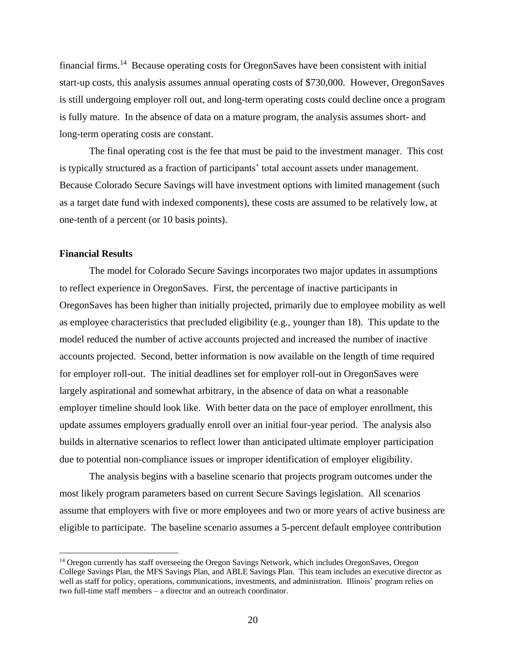financial firms.<sup>14</sup> Because operating costs for OregonSaves have been consistent with initial start-up costs, this analysis assumes annual operating costs of \$730,000. However, OregonSaves is still undergoing employer roll out, and long-term operating costs could decline once a program is fully mature. In the absence of data on a mature program, the analysis assumes short- and long-term operating costs are constant.

The final operating cost is the fee that must be paid to the investment manager. This cost is typically structured as a fraction of participants' total account assets under management. Because Colorado Secure Savings will have investment options with limited management (such as a target date fund with indexed components), these costs are assumed to be relatively low, at one-tenth of a percent (or 10 basis points).

#### **Financial Results**

 $\overline{\phantom{a}}$ 

The model for Colorado Secure Savings incorporates two major updates in assumptions to reflect experience in OregonSaves. First, the percentage of inactive participants in OregonSaves has been higher than initially projected, primarily due to employee mobility as well as employee characteristics that precluded eligibility (e.g., younger than 18). This update to the model reduced the number of active accounts projected and increased the number of inactive accounts projected. Second, better information is now available on the length of time required for employer roll-out. The initial deadlines set for employer roll-out in OregonSaves were largely aspirational and somewhat arbitrary, in the absence of data on what a reasonable employer timeline should look like. With better data on the pace of employer enrollment, this update assumes employers gradually enroll over an initial four-year period. The analysis also builds in alternative scenarios to reflect lower than anticipated ultimate employer participation due to potential non-compliance issues or improper identification of employer eligibility.

The analysis begins with a baseline scenario that projects program outcomes under the most likely program parameters based on current Secure Savings legislation. All scenarios assume that employers with five or more employees and two or more years of active business are eligible to participate. The baseline scenario assumes a 5-percent default employee contribution

<sup>&</sup>lt;sup>14</sup> Oregon currently has staff overseeing the Oregon Savings Network, which includes OregonSaves, Oregon College Savings Plan, the MFS Savings Plan, and ABLE Savings Plan. This team includes an executive director as well as staff for policy, operations, communications, investments, and administration. Illinois' program relies on two full-time staff members – a director and an outreach coordinator.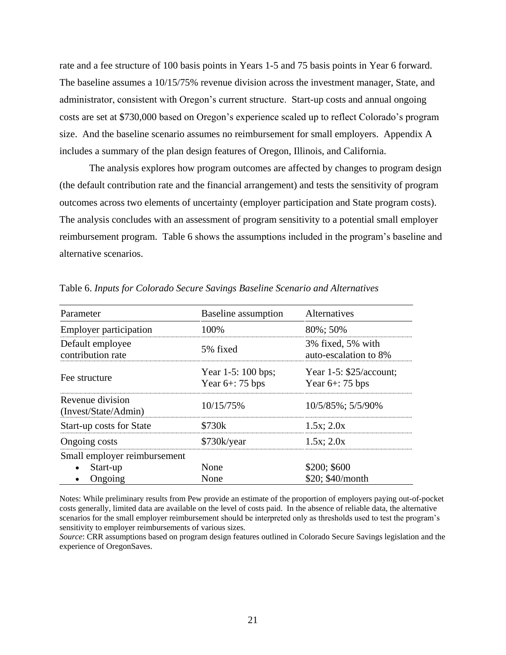rate and a fee structure of 100 basis points in Years 1-5 and 75 basis points in Year 6 forward. The baseline assumes a 10/15/75% revenue division across the investment manager, State, and administrator, consistent with Oregon's current structure. Start-up costs and annual ongoing costs are set at \$730,000 based on Oregon's experience scaled up to reflect Colorado's program size. And the baseline scenario assumes no reimbursement for small employers. Appendix A includes a summary of the plan design features of Oregon, Illinois, and California.

The analysis explores how program outcomes are affected by changes to program design (the default contribution rate and the financial arrangement) and tests the sensitivity of program outcomes across two elements of uncertainty (employer participation and State program costs). The analysis concludes with an assessment of program sensitivity to a potential small employer reimbursement program. Table 6 shows the assumptions included in the program's baseline and alternative scenarios.

| Parameter                                | Baseline assumption                      | Alternatives                                     |
|------------------------------------------|------------------------------------------|--------------------------------------------------|
| <b>Employer participation</b>            | 100%                                     | 80%; 50%                                         |
| Default employee<br>contribution rate    | 5% fixed                                 | 3% fixed, 5% with<br>auto-escalation to 8%       |
| Fee structure                            | Year 1-5: 100 bps;<br>Year $6+$ : 75 bps | Year $1-5$ : \$25/account;<br>Year $6+$ : 75 bps |
| Revenue division<br>(Invest/State/Admin) | 10/15/75%                                | 10/5/85%; 5/5/90%                                |
| <b>Start-up costs for State</b>          | \$730k                                   | $1.5x$ ; $2.0x$                                  |
| Ongoing costs                            | \$730k/year                              | $1.5x$ ; $2.0x$                                  |
| Small employer reimbursement             |                                          |                                                  |
| Start-up                                 | None                                     | \$200; \$600                                     |
| Ongoing                                  | None                                     | \$20; \$40/month                                 |

Table 6. *Inputs for Colorado Secure Savings Baseline Scenario and Alternatives*

Notes: While preliminary results from Pew provide an estimate of the proportion of employers paying out-of-pocket costs generally, limited data are available on the level of costs paid. In the absence of reliable data, the alternative scenarios for the small employer reimbursement should be interpreted only as thresholds used to test the program's sensitivity to employer reimbursements of various sizes.

*Source*: CRR assumptions based on program design features outlined in Colorado Secure Savings legislation and the experience of OregonSaves.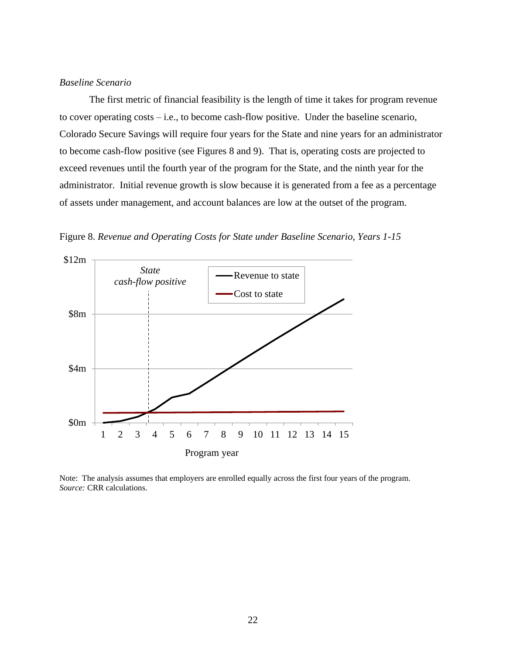## *Baseline Scenario*

The first metric of financial feasibility is the length of time it takes for program revenue to cover operating costs – i.e., to become cash-flow positive. Under the baseline scenario, Colorado Secure Savings will require four years for the State and nine years for an administrator to become cash-flow positive (see Figures 8 and 9). That is, operating costs are projected to exceed revenues until the fourth year of the program for the State, and the ninth year for the administrator. Initial revenue growth is slow because it is generated from a fee as a percentage of assets under management, and account balances are low at the outset of the program.





Note: The analysis assumes that employers are enrolled equally across the first four years of the program. *Source:* CRR calculations.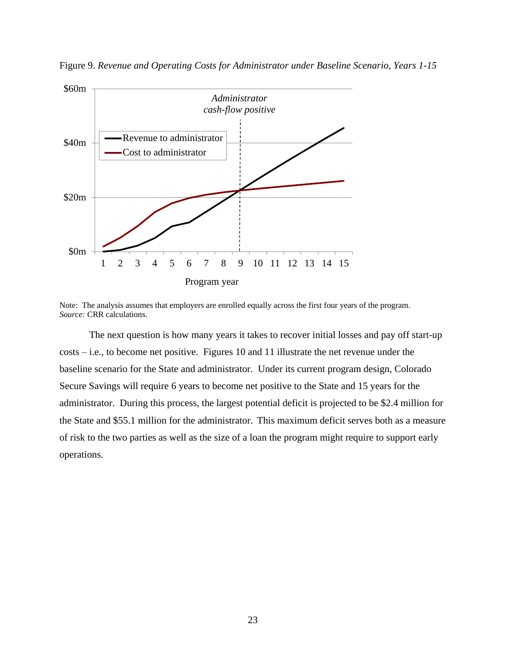

Figure 9. *Revenue and Operating Costs for Administrator under Baseline Scenario, Years 1-15*

Note: The analysis assumes that employers are enrolled equally across the first four years of the program. *Source:* CRR calculations.

The next question is how many years it takes to recover initial losses and pay off start-up costs – i.e., to become net positive. Figures 10 and 11 illustrate the net revenue under the baseline scenario for the State and administrator. Under its current program design, Colorado Secure Savings will require 6 years to become net positive to the State and 15 years for the administrator. During this process, the largest potential deficit is projected to be \$2.4 million for the State and \$55.1 million for the administrator. This maximum deficit serves both as a measure of risk to the two parties as well as the size of a loan the program might require to support early operations.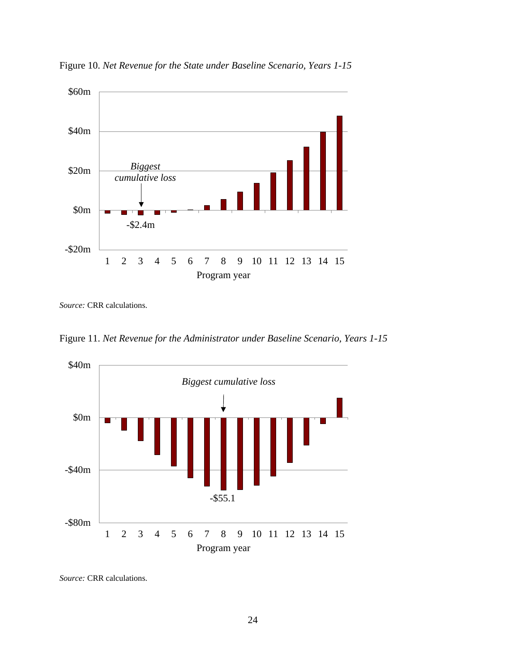

Figure 10. *Net Revenue for the State under Baseline Scenario, Years 1-15*

*Source:* CRR calculations.

Figure 11. *Net Revenue for the Administrator under Baseline Scenario, Years 1-15*



*Source:* CRR calculations.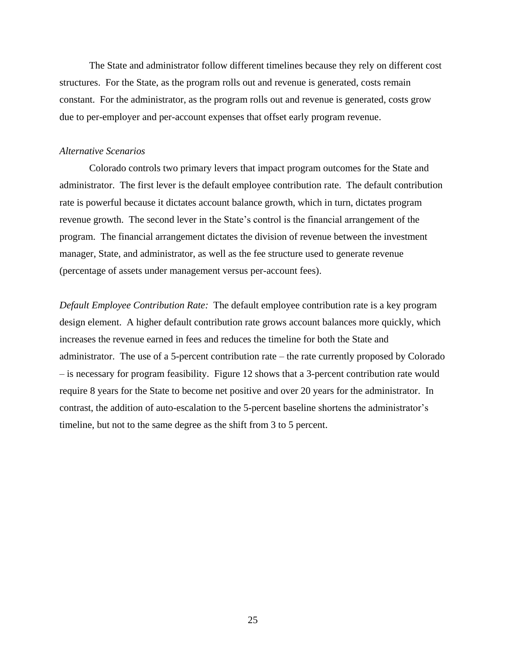The State and administrator follow different timelines because they rely on different cost structures. For the State, as the program rolls out and revenue is generated, costs remain constant. For the administrator, as the program rolls out and revenue is generated, costs grow due to per-employer and per-account expenses that offset early program revenue.

#### *Alternative Scenarios*

Colorado controls two primary levers that impact program outcomes for the State and administrator. The first lever is the default employee contribution rate. The default contribution rate is powerful because it dictates account balance growth, which in turn, dictates program revenue growth. The second lever in the State's control is the financial arrangement of the program. The financial arrangement dictates the division of revenue between the investment manager, State, and administrator, as well as the fee structure used to generate revenue (percentage of assets under management versus per-account fees).

*Default Employee Contribution Rate:* The default employee contribution rate is a key program design element. A higher default contribution rate grows account balances more quickly, which increases the revenue earned in fees and reduces the timeline for both the State and administrator. The use of a 5-percent contribution rate – the rate currently proposed by Colorado – is necessary for program feasibility. Figure 12 shows that a 3-percent contribution rate would require 8 years for the State to become net positive and over 20 years for the administrator. In contrast, the addition of auto-escalation to the 5-percent baseline shortens the administrator's timeline, but not to the same degree as the shift from 3 to 5 percent.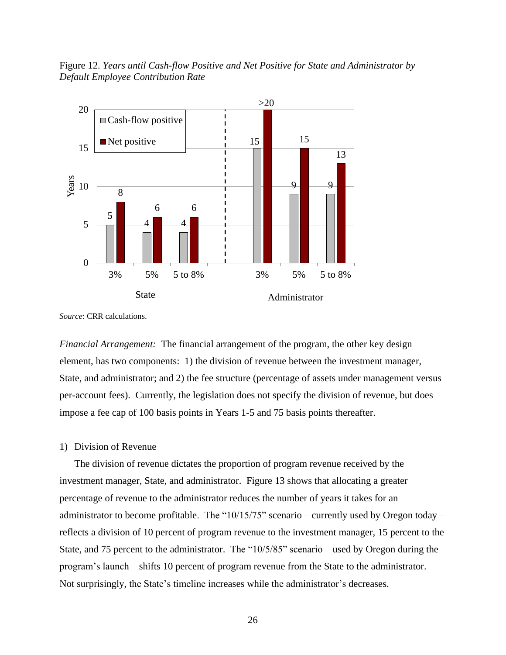Figure 12. *Years until Cash-flow Positive and Net Positive for State and Administrator by Default Employee Contribution Rate*



*Source*: CRR calculations.

*Financial Arrangement:* The financial arrangement of the program, the other key design element, has two components: 1) the division of revenue between the investment manager, State, and administrator; and 2) the fee structure (percentage of assets under management versus per-account fees). Currently, the legislation does not specify the division of revenue, but does impose a fee cap of 100 basis points in Years 1-5 and 75 basis points thereafter.

#### 1) Division of Revenue

The division of revenue dictates the proportion of program revenue received by the investment manager, State, and administrator. Figure 13 shows that allocating a greater percentage of revenue to the administrator reduces the number of years it takes for an administrator to become profitable. The " $10/15/75$ " scenario – currently used by Oregon today – reflects a division of 10 percent of program revenue to the investment manager, 15 percent to the State, and 75 percent to the administrator. The "10/5/85" scenario – used by Oregon during the program's launch – shifts 10 percent of program revenue from the State to the administrator. Not surprisingly, the State's timeline increases while the administrator's decreases.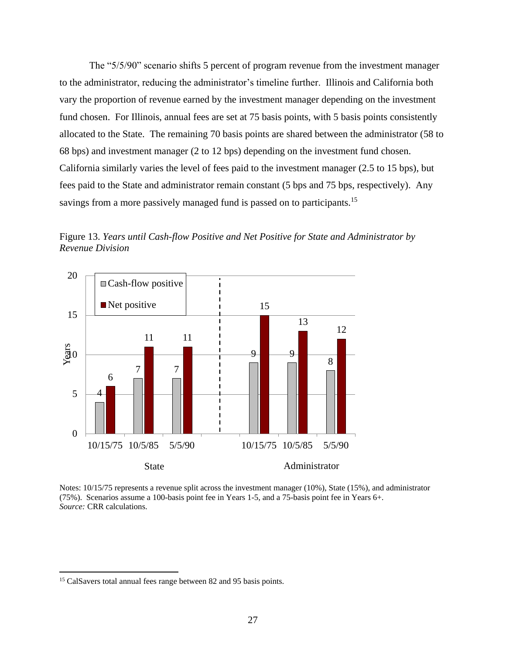The "5/5/90" scenario shifts 5 percent of program revenue from the investment manager to the administrator, reducing the administrator's timeline further. Illinois and California both vary the proportion of revenue earned by the investment manager depending on the investment fund chosen. For Illinois, annual fees are set at 75 basis points, with 5 basis points consistently allocated to the State. The remaining 70 basis points are shared between the administrator (58 to 68 bps) and investment manager (2 to 12 bps) depending on the investment fund chosen. California similarly varies the level of fees paid to the investment manager (2.5 to 15 bps), but fees paid to the State and administrator remain constant (5 bps and 75 bps, respectively). Any savings from a more passively managed fund is passed on to participants.<sup>15</sup>

Figure 13. *Years until Cash-flow Positive and Net Positive for State and Administrator by Revenue Division*



Notes: 10/15/75 represents a revenue split across the investment manager (10%), State (15%), and administrator (75%). Scenarios assume a 100-basis point fee in Years 1-5, and a 75-basis point fee in Years 6+. *Source:* CRR calculations.

<sup>&</sup>lt;sup>15</sup> CalSavers total annual fees range between 82 and 95 basis points.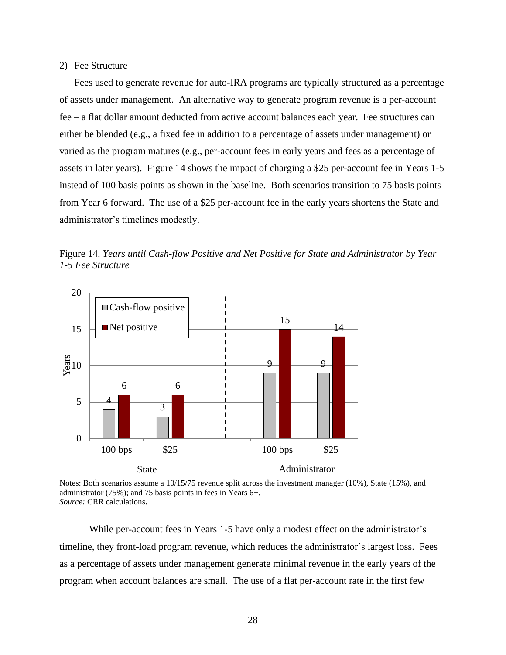#### 2) Fee Structure

Fees used to generate revenue for auto-IRA programs are typically structured as a percentage of assets under management. An alternative way to generate program revenue is a per-account fee – a flat dollar amount deducted from active account balances each year. Fee structures can either be blended (e.g., a fixed fee in addition to a percentage of assets under management) or varied as the program matures (e.g., per-account fees in early years and fees as a percentage of assets in later years). Figure 14 shows the impact of charging a \$25 per-account fee in Years 1-5 instead of 100 basis points as shown in the baseline. Both scenarios transition to 75 basis points from Year 6 forward. The use of a \$25 per-account fee in the early years shortens the State and administrator's timelines modestly.





Notes: Both scenarios assume a 10/15/75 revenue split across the investment manager (10%), State (15%), and administrator (75%); and 75 basis points in fees in Years 6+. *Source:* CRR calculations.

While per-account fees in Years 1-5 have only a modest effect on the administrator's timeline, they front-load program revenue, which reduces the administrator's largest loss. Fees as a percentage of assets under management generate minimal revenue in the early years of the program when account balances are small. The use of a flat per-account rate in the first few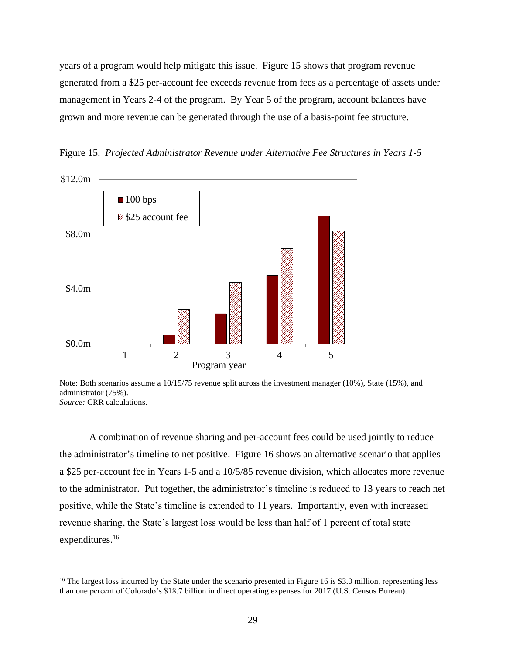years of a program would help mitigate this issue. Figure 15 shows that program revenue generated from a \$25 per-account fee exceeds revenue from fees as a percentage of assets under management in Years 2-4 of the program. By Year 5 of the program, account balances have grown and more revenue can be generated through the use of a basis-point fee structure.



Figure 15. *Projected Administrator Revenue under Alternative Fee Structures in Years 1-5*

A combination of revenue sharing and per-account fees could be used jointly to reduce the administrator's timeline to net positive. Figure 16 shows an alternative scenario that applies a \$25 per-account fee in Years 1-5 and a 10/5/85 revenue division, which allocates more revenue to the administrator. Put together, the administrator's timeline is reduced to 13 years to reach net positive, while the State's timeline is extended to 11 years. Importantly, even with increased revenue sharing, the State's largest loss would be less than half of 1 percent of total state expenditures.<sup>16</sup>

Note: Both scenarios assume a  $10/15/75$  revenue split across the investment manager (10%), State (15%), and administrator (75%). *Source:* CRR calculations.

<sup>&</sup>lt;sup>16</sup> The largest loss incurred by the State under the scenario presented in Figure 16 is \$3.0 million, representing less than one percent of Colorado's \$18.7 billion in direct operating expenses for 2017 (U.S. Census Bureau).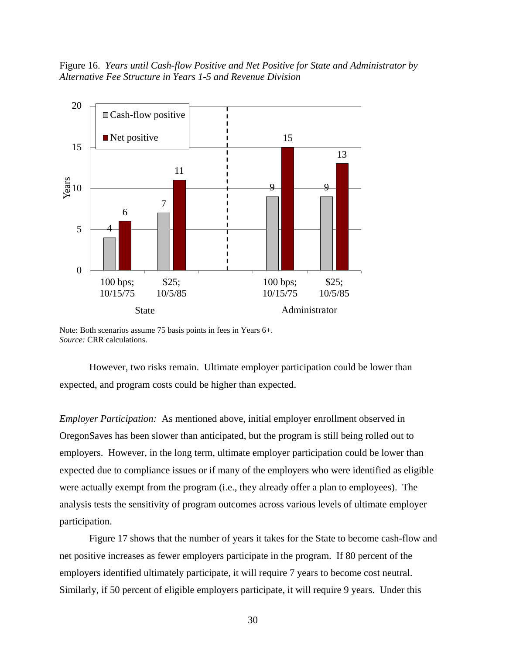Figure 16. *Years until Cash-flow Positive and Net Positive for State and Administrator by Alternative Fee Structure in Years 1-5 and Revenue Division* 



Note: Both scenarios assume 75 basis points in fees in Years 6+. *Source:* CRR calculations.

However, two risks remain. Ultimate employer participation could be lower than expected, and program costs could be higher than expected.

*Employer Participation:* As mentioned above, initial employer enrollment observed in OregonSaves has been slower than anticipated, but the program is still being rolled out to employers. However, in the long term, ultimate employer participation could be lower than expected due to compliance issues or if many of the employers who were identified as eligible were actually exempt from the program (i.e., they already offer a plan to employees). The analysis tests the sensitivity of program outcomes across various levels of ultimate employer participation.

Figure 17 shows that the number of years it takes for the State to become cash-flow and net positive increases as fewer employers participate in the program. If 80 percent of the employers identified ultimately participate, it will require 7 years to become cost neutral. Similarly, if 50 percent of eligible employers participate, it will require 9 years. Under this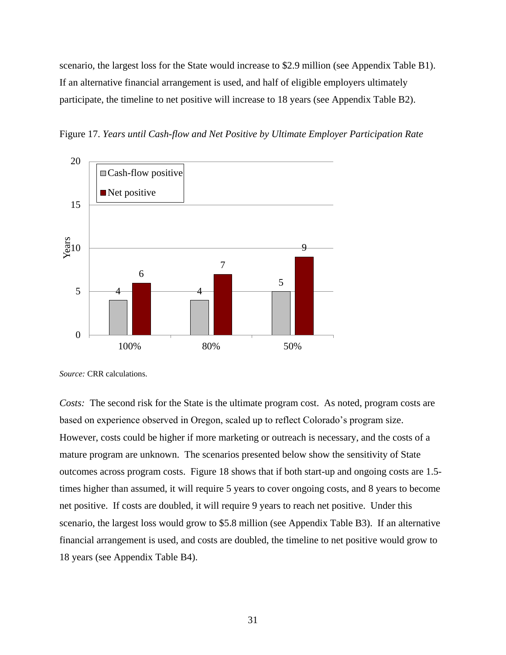scenario, the largest loss for the State would increase to \$2.9 million (see Appendix Table B1). If an alternative financial arrangement is used, and half of eligible employers ultimately participate, the timeline to net positive will increase to 18 years (see Appendix Table B2).

Figure 17. *Years until Cash-flow and Net Positive by Ultimate Employer Participation Rate*



*Source:* CRR calculations.

*Costs:* The second risk for the State is the ultimate program cost. As noted, program costs are based on experience observed in Oregon, scaled up to reflect Colorado's program size. However, costs could be higher if more marketing or outreach is necessary, and the costs of a mature program are unknown. The scenarios presented below show the sensitivity of State outcomes across program costs. Figure 18 shows that if both start-up and ongoing costs are 1.5 times higher than assumed, it will require 5 years to cover ongoing costs, and 8 years to become net positive. If costs are doubled, it will require 9 years to reach net positive. Under this scenario, the largest loss would grow to \$5.8 million (see Appendix Table B3). If an alternative financial arrangement is used, and costs are doubled, the timeline to net positive would grow to 18 years (see Appendix Table B4).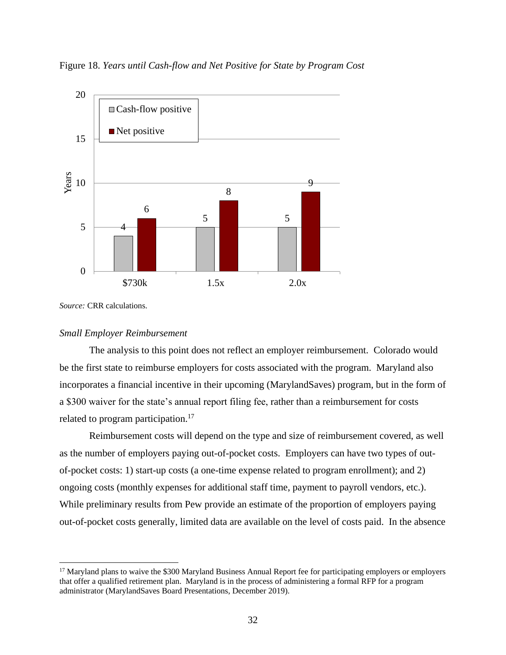Figure 18. *Years until Cash-flow and Net Positive for State by Program Cost* 



*Source:* CRR calculations.

 $\overline{\phantom{a}}$ 

#### *Small Employer Reimbursement*

The analysis to this point does not reflect an employer reimbursement. Colorado would be the first state to reimburse employers for costs associated with the program. Maryland also incorporates a financial incentive in their upcoming (MarylandSaves) program, but in the form of a \$300 waiver for the state's annual report filing fee, rather than a reimbursement for costs related to program participation.<sup>17</sup>

Reimbursement costs will depend on the type and size of reimbursement covered, as well as the number of employers paying out-of-pocket costs. Employers can have two types of outof-pocket costs: 1) start-up costs (a one-time expense related to program enrollment); and 2) ongoing costs (monthly expenses for additional staff time, payment to payroll vendors, etc.). While preliminary results from Pew provide an estimate of the proportion of employers paying out-of-pocket costs generally, limited data are available on the level of costs paid. In the absence

<sup>&</sup>lt;sup>17</sup> Maryland plans to waive the \$300 Maryland Business Annual Report fee for participating employers or employers that offer a qualified retirement plan. Maryland is in the process of administering a formal RFP for a program administrator (MarylandSaves Board Presentations, December 2019).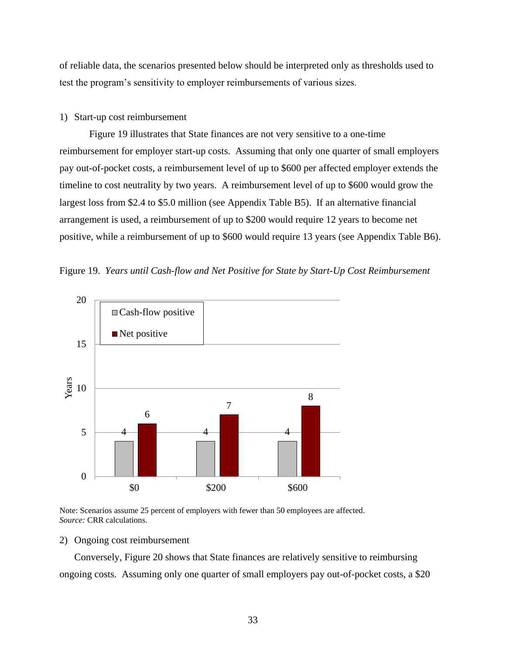of reliable data, the scenarios presented below should be interpreted only as thresholds used to test the program's sensitivity to employer reimbursements of various sizes.

#### 1) Start-up cost reimbursement

Figure 19 illustrates that State finances are not very sensitive to a one-time reimbursement for employer start-up costs. Assuming that only one quarter of small employers pay out-of-pocket costs, a reimbursement level of up to \$600 per affected employer extends the timeline to cost neutrality by two years. A reimbursement level of up to \$600 would grow the largest loss from \$2.4 to \$5.0 million (see Appendix Table B5). If an alternative financial arrangement is used, a reimbursement of up to \$200 would require 12 years to become net positive, while a reimbursement of up to \$600 would require 13 years (see Appendix Table B6).





Note: Scenarios assume 25 percent of employers with fewer than 50 employees are affected. *Source:* CRR calculations.

#### 2) Ongoing cost reimbursement

Conversely, Figure 20 shows that State finances are relatively sensitive to reimbursing ongoing costs. Assuming only one quarter of small employers pay out-of-pocket costs, a \$20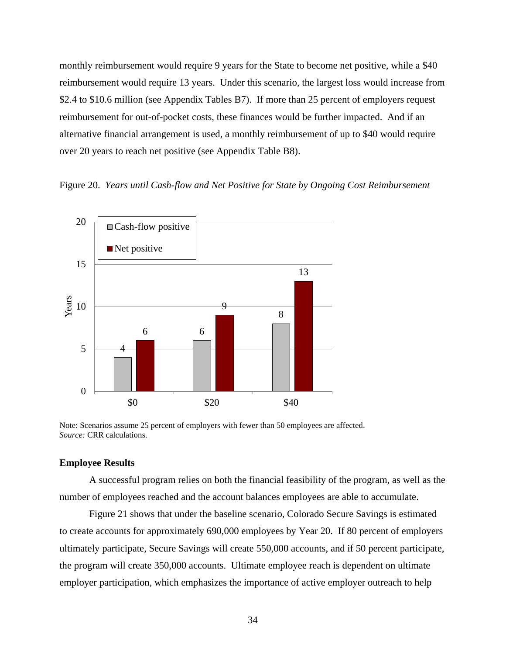monthly reimbursement would require 9 years for the State to become net positive, while a \$40 reimbursement would require 13 years. Under this scenario, the largest loss would increase from \$2.4 to \$10.6 million (see Appendix Tables B7). If more than 25 percent of employers request reimbursement for out-of-pocket costs, these finances would be further impacted. And if an alternative financial arrangement is used, a monthly reimbursement of up to \$40 would require over 20 years to reach net positive (see Appendix Table B8).

#### Figure 20. *Years until Cash-flow and Net Positive for State by Ongoing Cost Reimbursement*



Note: Scenarios assume 25 percent of employers with fewer than 50 employees are affected. *Source:* CRR calculations.

#### **Employee Results**

A successful program relies on both the financial feasibility of the program, as well as the number of employees reached and the account balances employees are able to accumulate.

Figure 21 shows that under the baseline scenario, Colorado Secure Savings is estimated to create accounts for approximately 690,000 employees by Year 20. If 80 percent of employers ultimately participate, Secure Savings will create 550,000 accounts, and if 50 percent participate, the program will create 350,000 accounts. Ultimate employee reach is dependent on ultimate employer participation, which emphasizes the importance of active employer outreach to help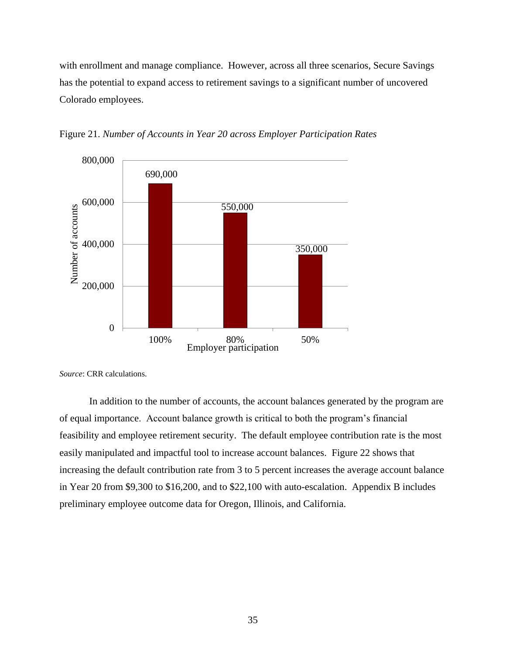with enrollment and manage compliance. However, across all three scenarios, Secure Savings has the potential to expand access to retirement savings to a significant number of uncovered Colorado employees.



Figure 21. *Number of Accounts in Year 20 across Employer Participation Rates*

*Source*: CRR calculations.

In addition to the number of accounts, the account balances generated by the program are of equal importance. Account balance growth is critical to both the program's financial feasibility and employee retirement security. The default employee contribution rate is the most easily manipulated and impactful tool to increase account balances. Figure 22 shows that increasing the default contribution rate from 3 to 5 percent increases the average account balance in Year 20 from \$9,300 to \$16,200, and to \$22,100 with auto-escalation. Appendix B includes preliminary employee outcome data for Oregon, Illinois, and California.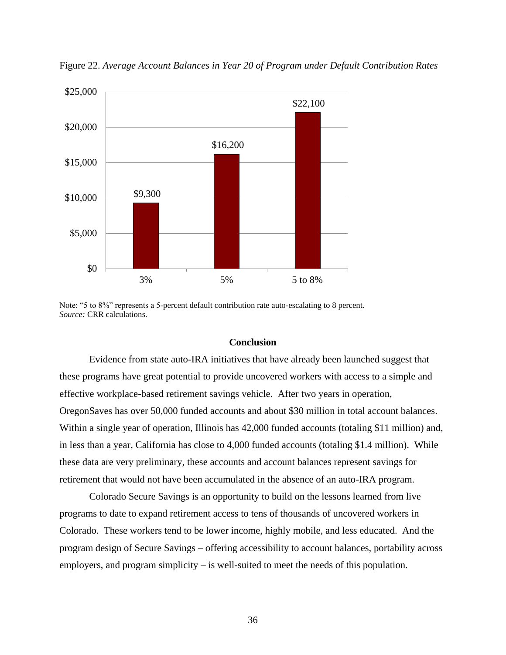

Figure 22. *Average Account Balances in Year 20 of Program under Default Contribution Rates*

Note: "5 to 8%" represents a 5-percent default contribution rate auto-escalating to 8 percent. *Source:* CRR calculations.

## **Conclusion**

Evidence from state auto-IRA initiatives that have already been launched suggest that these programs have great potential to provide uncovered workers with access to a simple and effective workplace-based retirement savings vehicle. After two years in operation, OregonSaves has over 50,000 funded accounts and about \$30 million in total account balances. Within a single year of operation, Illinois has  $42,000$  funded accounts (totaling \$11 million) and, in less than a year, California has close to 4,000 funded accounts (totaling \$1.4 million). While these data are very preliminary, these accounts and account balances represent savings for retirement that would not have been accumulated in the absence of an auto-IRA program.

Colorado Secure Savings is an opportunity to build on the lessons learned from live programs to date to expand retirement access to tens of thousands of uncovered workers in Colorado. These workers tend to be lower income, highly mobile, and less educated. And the program design of Secure Savings – offering accessibility to account balances, portability across employers, and program simplicity – is well-suited to meet the needs of this population.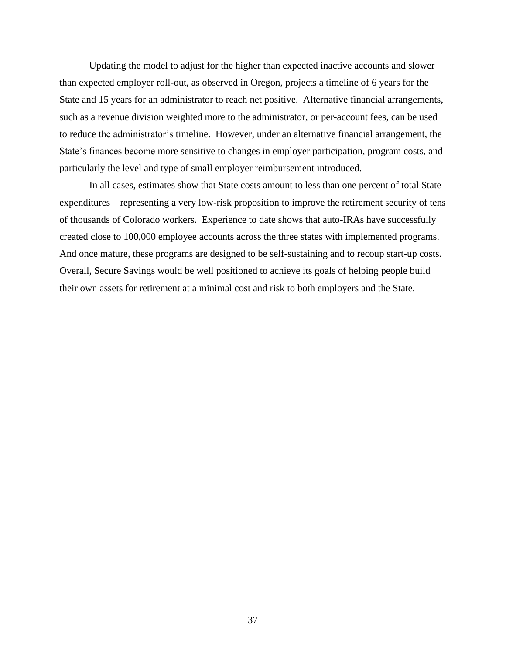Updating the model to adjust for the higher than expected inactive accounts and slower than expected employer roll-out, as observed in Oregon, projects a timeline of 6 years for the State and 15 years for an administrator to reach net positive. Alternative financial arrangements, such as a revenue division weighted more to the administrator, or per-account fees, can be used to reduce the administrator's timeline. However, under an alternative financial arrangement, the State's finances become more sensitive to changes in employer participation, program costs, and particularly the level and type of small employer reimbursement introduced.

In all cases, estimates show that State costs amount to less than one percent of total State expenditures – representing a very low-risk proposition to improve the retirement security of tens of thousands of Colorado workers. Experience to date shows that auto-IRAs have successfully created close to 100,000 employee accounts across the three states with implemented programs. And once mature, these programs are designed to be self-sustaining and to recoup start-up costs. Overall, Secure Savings would be well positioned to achieve its goals of helping people build their own assets for retirement at a minimal cost and risk to both employers and the State.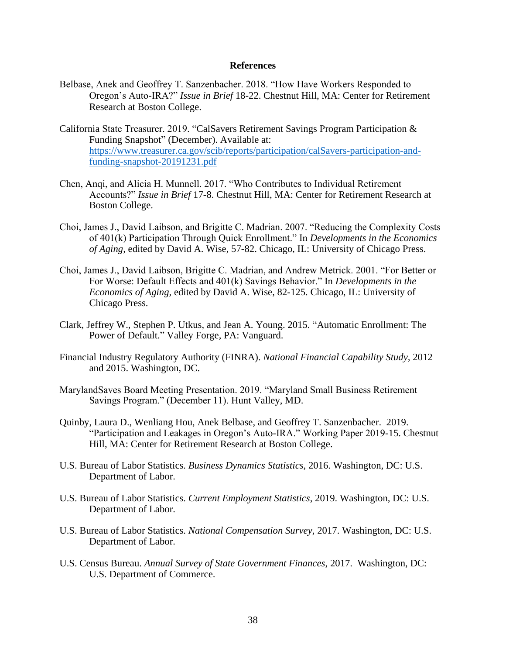#### **References**

- Belbase, Anek and Geoffrey T. Sanzenbacher. 2018. "How Have Workers Responded to Oregon's Auto-IRA?" *Issue in Brief* 18-22. Chestnut Hill, MA: Center for Retirement Research at Boston College.
- California State Treasurer. 2019. "CalSavers Retirement Savings Program Participation & Funding Snapshot" (December). Available at: [https://www.treasurer.ca.gov/scib/reports/participation/calSavers-participation-and](https://www.treasurer.ca.gov/scib/reports/participation/calSavers-participation-and-funding-snapshot-20191231.pdf)[funding-snapshot-20191231.pdf](https://www.treasurer.ca.gov/scib/reports/participation/calSavers-participation-and-funding-snapshot-20191231.pdf)
- Chen, Anqi, and Alicia H. Munnell. 2017. "Who Contributes to Individual Retirement Accounts?" *Issue in Brief* 17-8. Chestnut Hill, MA: Center for Retirement Research at Boston College.
- Choi, James J., David Laibson, and Brigitte C. Madrian. 2007. "Reducing the Complexity Costs of 401(k) Participation Through Quick Enrollment." In *Developments in the Economics of Aging,* edited by David A. Wise, 57-82. Chicago, IL: University of Chicago Press.
- Choi, James J., David Laibson, Brigitte C. Madrian, and Andrew Metrick. 2001. "For Better or For Worse: Default Effects and 401(k) Savings Behavior." In *Developments in the Economics of Aging,* edited by David A. Wise, 82-125. Chicago, IL: University of Chicago Press.
- Clark, Jeffrey W., Stephen P. Utkus, and Jean A. Young. 2015. "Automatic Enrollment: The Power of Default." Valley Forge, PA: Vanguard.
- Financial Industry Regulatory Authority (FINRA). *National Financial Capability Study,* 2012 and 2015. Washington, DC.
- MarylandSaves Board Meeting Presentation. 2019. "Maryland Small Business Retirement Savings Program." (December 11). Hunt Valley, MD.
- Quinby, Laura D., Wenliang Hou, Anek Belbase, and Geoffrey T. Sanzenbacher. 2019. "Participation and Leakages in Oregon's Auto-IRA." Working Paper 2019-15. Chestnut Hill, MA: Center for Retirement Research at Boston College.
- U.S. Bureau of Labor Statistics. *Business Dynamics Statistics*, 2016. Washington, DC: U.S. Department of Labor.
- U.S. Bureau of Labor Statistics. *Current Employment Statistics*, 2019. Washington, DC: U.S. Department of Labor.
- U.S. Bureau of Labor Statistics. *National Compensation Survey*, 2017. Washington, DC: U.S. Department of Labor.
- U.S. Census Bureau. *Annual Survey of State Government Finances*, 2017. Washington, DC: U.S. Department of Commerce.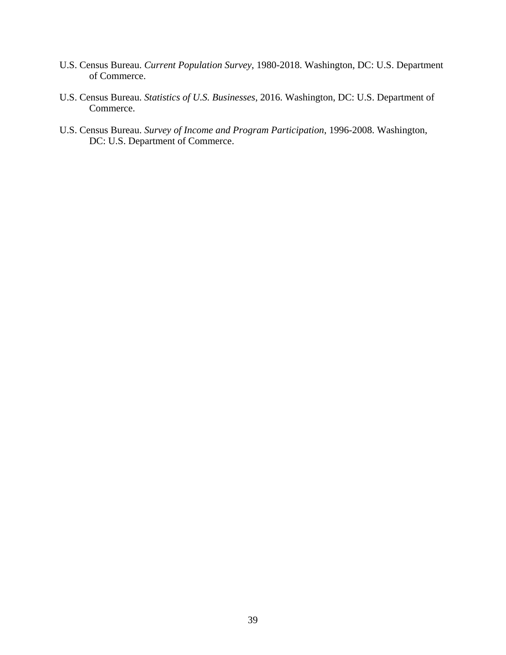- U.S. Census Bureau. *Current Population Survey*, 1980-2018. Washington, DC: U.S. Department of Commerce.
- U.S. Census Bureau. *Statistics of U.S. Businesses*, 2016. Washington, DC: U.S. Department of Commerce.
- U.S. Census Bureau. *Survey of Income and Program Participation*, 1996-2008. Washington, DC: U.S. Department of Commerce.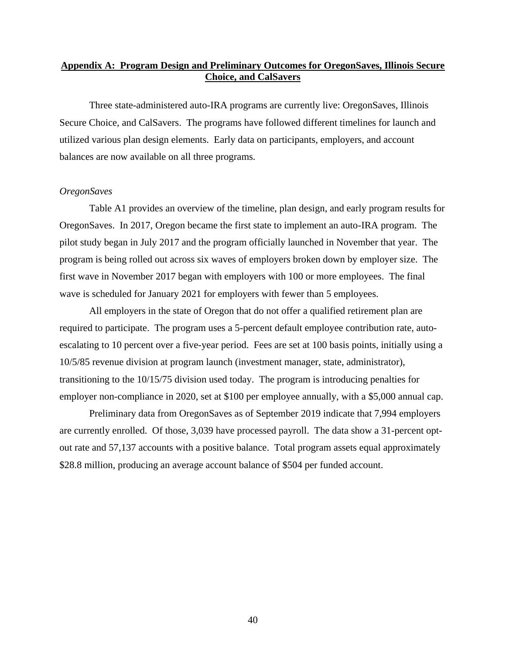## **Appendix A: Program Design and Preliminary Outcomes for OregonSaves, Illinois Secure Choice, and CalSavers**

Three state-administered auto-IRA programs are currently live: OregonSaves, Illinois Secure Choice, and CalSavers. The programs have followed different timelines for launch and utilized various plan design elements. Early data on participants, employers, and account balances are now available on all three programs.

#### *OregonSaves*

Table A1 provides an overview of the timeline, plan design, and early program results for OregonSaves. In 2017, Oregon became the first state to implement an auto-IRA program. The pilot study began in July 2017 and the program officially launched in November that year. The program is being rolled out across six waves of employers broken down by employer size. The first wave in November 2017 began with employers with 100 or more employees. The final wave is scheduled for January 2021 for employers with fewer than 5 employees.

All employers in the state of Oregon that do not offer a qualified retirement plan are required to participate. The program uses a 5-percent default employee contribution rate, autoescalating to 10 percent over a five-year period. Fees are set at 100 basis points, initially using a 10/5/85 revenue division at program launch (investment manager, state, administrator), transitioning to the 10/15/75 division used today. The program is introducing penalties for employer non-compliance in 2020, set at \$100 per employee annually, with a \$5,000 annual cap.

Preliminary data from OregonSaves as of September 2019 indicate that 7,994 employers are currently enrolled. Of those, 3,039 have processed payroll. The data show a 31-percent optout rate and 57,137 accounts with a positive balance. Total program assets equal approximately \$28.8 million, producing an average account balance of \$504 per funded account.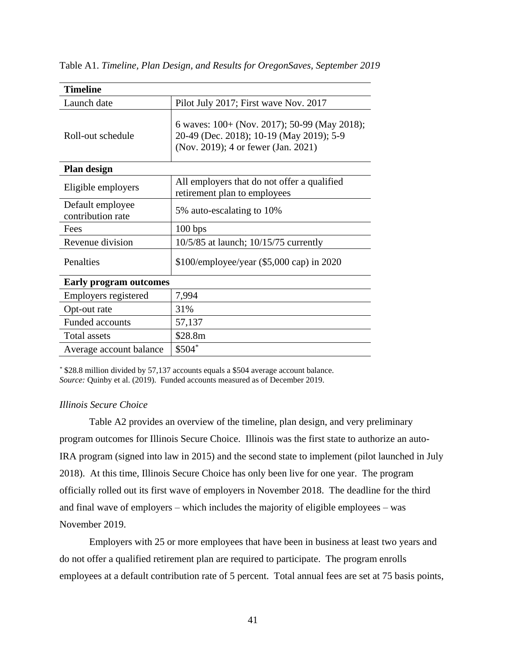| <b>Timeline</b>                       |                                                                                                                                 |
|---------------------------------------|---------------------------------------------------------------------------------------------------------------------------------|
| Launch date                           | Pilot July 2017; First wave Nov. 2017                                                                                           |
| Roll-out schedule                     | 6 waves: 100+ (Nov. 2017); 50-99 (May 2018);<br>20-49 (Dec. 2018); 10-19 (May 2019); 5-9<br>(Nov. 2019); 4 or fewer (Jan. 2021) |
| Plan design                           |                                                                                                                                 |
| Eligible employers                    | All employers that do not offer a qualified<br>retirement plan to employees                                                     |
| Default employee<br>contribution rate | 5% auto-escalating to 10%                                                                                                       |
| Fees                                  | 100 bps                                                                                                                         |
| Revenue division                      | 10/5/85 at launch; 10/15/75 currently                                                                                           |
| Penalties                             | $$100/employee/year ($5,000 cap) in 2020$                                                                                       |
| <b>Early program outcomes</b>         |                                                                                                                                 |
| Employers registered                  | 7,994                                                                                                                           |
| Opt-out rate                          | 31%                                                                                                                             |
| <b>Funded accounts</b>                | 57,137                                                                                                                          |
| Total assets                          | \$28.8m                                                                                                                         |
| Average account balance               | $$504$ *                                                                                                                        |

Table A1. *Timeline, Plan Design, and Results for OregonSaves, September 2019*

*\** \$28.8 million divided by 57,137 accounts equals a \$504 average account balance. *Source:* Quinby et al. (2019). Funded accounts measured as of December 2019.

## *Illinois Secure Choice*

Table A2 provides an overview of the timeline, plan design, and very preliminary program outcomes for Illinois Secure Choice. Illinois was the first state to authorize an auto-IRA program (signed into law in 2015) and the second state to implement (pilot launched in July 2018). At this time, Illinois Secure Choice has only been live for one year. The program officially rolled out its first wave of employers in November 2018. The deadline for the third and final wave of employers – which includes the majority of eligible employees – was November 2019.

Employers with 25 or more employees that have been in business at least two years and do not offer a qualified retirement plan are required to participate. The program enrolls employees at a default contribution rate of 5 percent. Total annual fees are set at 75 basis points,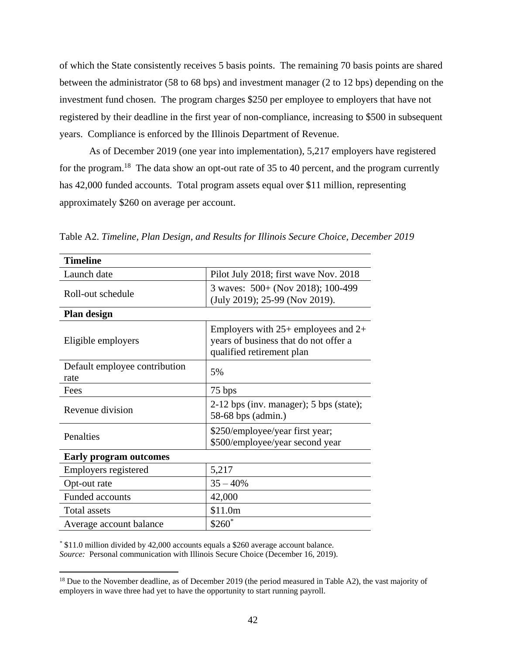of which the State consistently receives 5 basis points. The remaining 70 basis points are shared between the administrator (58 to 68 bps) and investment manager (2 to 12 bps) depending on the investment fund chosen. The program charges \$250 per employee to employers that have not registered by their deadline in the first year of non-compliance, increasing to \$500 in subsequent years. Compliance is enforced by the Illinois Department of Revenue.

As of December 2019 (one year into implementation), 5,217 employers have registered for the program.<sup>18</sup> The data show an opt-out rate of 35 to 40 percent, and the program currently has 42,000 funded accounts. Total program assets equal over \$11 million, representing approximately \$260 on average per account.

| <b>Timeline</b>                       |                                                                                                               |
|---------------------------------------|---------------------------------------------------------------------------------------------------------------|
| Launch date                           | Pilot July 2018; first wave Nov. 2018                                                                         |
| Roll-out schedule                     | 3 waves: 500+ (Nov 2018); 100-499<br>(July 2019); 25-99 (Nov 2019).                                           |
| Plan design                           |                                                                                                               |
| Eligible employers                    | Employers with $25+$ employees and $2+$<br>years of business that do not offer a<br>qualified retirement plan |
| Default employee contribution<br>rate | 5%                                                                                                            |
| Fees                                  | 75 bps                                                                                                        |
| Revenue division                      | 2-12 bps (inv. manager); 5 bps (state);<br>58-68 bps (admin.)                                                 |
| Penalties                             | \$250/employee/year first year;<br>\$500/employee/year second year                                            |
| <b>Early program outcomes</b>         |                                                                                                               |
| Employers registered                  | 5,217                                                                                                         |
| Opt-out rate                          | $35 - 40%$                                                                                                    |
| <b>Funded accounts</b>                | 42,000                                                                                                        |
| <b>Total assets</b>                   | \$11.0m                                                                                                       |
| Average account balance               | $$260^*$                                                                                                      |

Table A2. *Timeline, Plan Design, and Results for Illinois Secure Choice, December 2019*

*\** \$11.0 million divided by 42,000 accounts equals a \$260 average account balance. *Source:* Personal communication with Illinois Secure Choice (December 16, 2019).

<sup>&</sup>lt;sup>18</sup> Due to the November deadline, as of December 2019 (the period measured in Table A2), the vast majority of employers in wave three had yet to have the opportunity to start running payroll.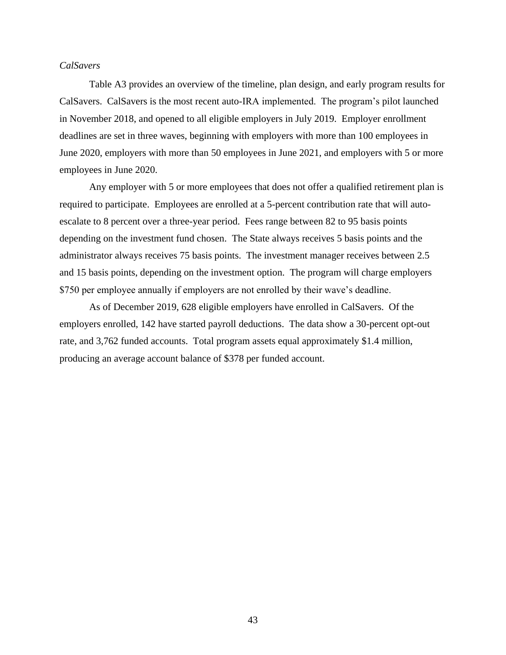## *CalSavers*

Table A3 provides an overview of the timeline, plan design, and early program results for CalSavers. CalSavers is the most recent auto-IRA implemented. The program's pilot launched in November 2018, and opened to all eligible employers in July 2019. Employer enrollment deadlines are set in three waves, beginning with employers with more than 100 employees in June 2020, employers with more than 50 employees in June 2021, and employers with 5 or more employees in June 2020.

Any employer with 5 or more employees that does not offer a qualified retirement plan is required to participate. Employees are enrolled at a 5-percent contribution rate that will autoescalate to 8 percent over a three-year period. Fees range between 82 to 95 basis points depending on the investment fund chosen. The State always receives 5 basis points and the administrator always receives 75 basis points. The investment manager receives between 2.5 and 15 basis points, depending on the investment option. The program will charge employers \$750 per employee annually if employers are not enrolled by their wave's deadline.

As of December 2019, 628 eligible employers have enrolled in CalSavers. Of the employers enrolled, 142 have started payroll deductions. The data show a 30-percent opt-out rate, and 3,762 funded accounts. Total program assets equal approximately \$1.4 million, producing an average account balance of \$378 per funded account.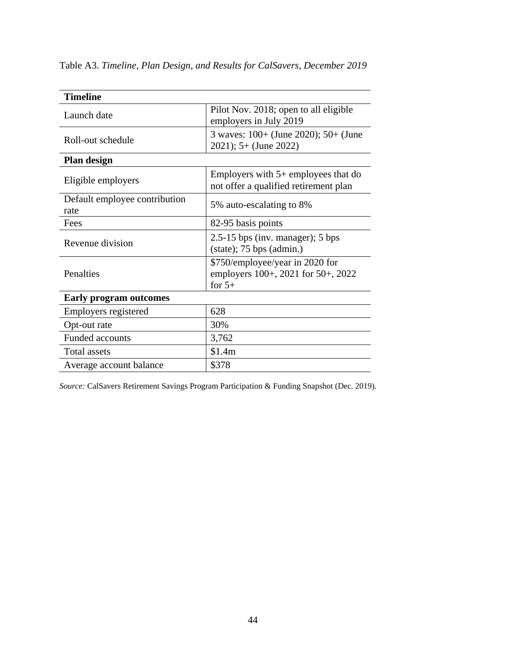| <b>Timeline</b>                       |                                                                                   |
|---------------------------------------|-----------------------------------------------------------------------------------|
| Launch date                           | Pilot Nov. 2018; open to all eligible<br>employers in July 2019                   |
| Roll-out schedule                     | 3 waves: 100+ (June 2020); 50+ (June<br>$2021$ ; 5+ (June 2022)                   |
| Plan design                           |                                                                                   |
| Eligible employers                    | Employers with $5+$ employees that do<br>not offer a qualified retirement plan    |
| Default employee contribution<br>rate | 5% auto-escalating to 8%                                                          |
| Fees                                  | 82-95 basis points                                                                |
| Revenue division                      | $2.5\n-15$ bps (inv. manager); 5 bps<br>$(state)$ ; 75 bps (admin.)               |
| Penalties                             | \$750/employee/year in 2020 for<br>employers 100+, 2021 for 50+, 2022<br>for $5+$ |
| <b>Early program outcomes</b>         |                                                                                   |
| Employers registered                  | 628                                                                               |
| Opt-out rate                          | 30%                                                                               |
| <b>Funded accounts</b>                | 3,762                                                                             |
| <b>Total assets</b>                   | \$1.4m                                                                            |
| Average account balance               | \$378                                                                             |

Table A3. *Timeline, Plan Design, and Results for CalSavers, December 2019*

*Source:* CalSavers Retirement Savings Program Participation & Funding Snapshot (Dec. 2019).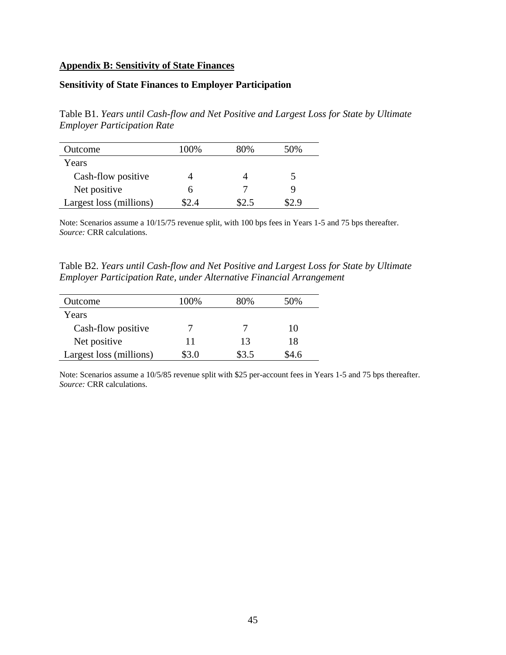#### **Appendix B: Sensitivity of State Finances**

## **Sensitivity of State Finances to Employer Participation**

Table B1. *Years until Cash-flow and Net Positive and Largest Loss for State by Ultimate Employer Participation Rate*

| Outcome                 | 100%  | 80%   | 50% |
|-------------------------|-------|-------|-----|
| Years                   |       |       |     |
| Cash-flow positive      |       |       |     |
| Net positive            | n     |       |     |
| Largest loss (millions) | \$2.4 | \$2.5 |     |

Note: Scenarios assume a 10/15/75 revenue split, with 100 bps fees in Years 1-5 and 75 bps thereafter. *Source:* CRR calculations.

Table B2. *Years until Cash-flow and Net Positive and Largest Loss for State by Ultimate Employer Participation Rate, under Alternative Financial Arrangement*

| Outcome                 | 100%  | 80%   | 50%   |
|-------------------------|-------|-------|-------|
| Years                   |       |       |       |
| Cash-flow positive      |       |       | 10    |
| Net positive            | 11    | 13    | 18    |
| Largest loss (millions) | \$3.0 | \$3.5 | \$4.6 |

Note: Scenarios assume a 10/5/85 revenue split with \$25 per-account fees in Years 1-5 and 75 bps thereafter. *Source:* CRR calculations.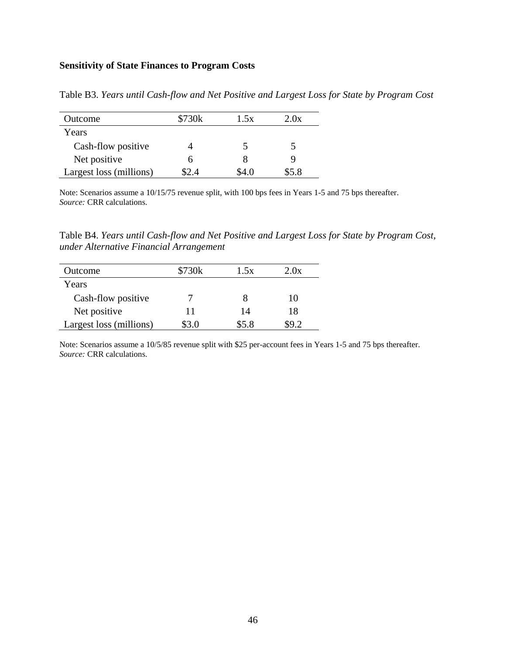## **Sensitivity of State Finances to Program Costs**

| Outcome                 | \$730k | 1.5x  | 2.0x  |
|-------------------------|--------|-------|-------|
| Years                   |        |       |       |
| Cash-flow positive      |        |       |       |
| Net positive            | h      |       |       |
| Largest loss (millions) | 2.4    | \$4.0 | \$5.8 |

Table B3. *Years until Cash-flow and Net Positive and Largest Loss for State by Program Cost*

Note: Scenarios assume a 10/15/75 revenue split, with 100 bps fees in Years 1-5 and 75 bps thereafter. *Source:* CRR calculations.

Table B4. *Years until Cash-flow and Net Positive and Largest Loss for State by Program Cost, under Alternative Financial Arrangement*

| Outcome                 | \$730k | 1.5x  | 2.0x |
|-------------------------|--------|-------|------|
| Years                   |        |       |      |
| Cash-flow positive      |        |       | 10   |
| Net positive            | 11     | 14    | 18   |
| Largest loss (millions) | \$3.0  | \$5.8 |      |

Note: Scenarios assume a 10/5/85 revenue split with \$25 per-account fees in Years 1-5 and 75 bps thereafter. *Source:* CRR calculations.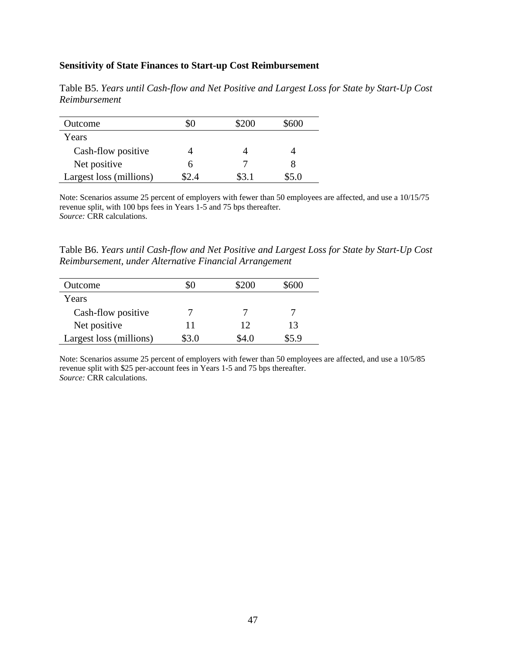#### **Sensitivity of State Finances to Start-up Cost Reimbursement**

| Outcome                 |   | \$200 | \$600 |
|-------------------------|---|-------|-------|
| Years                   |   |       |       |
| Cash-flow positive      |   |       |       |
| Net positive            | h |       |       |
| Largest loss (millions) |   | \$3.1 | \$5.0 |

Table B5. *Years until Cash-flow and Net Positive and Largest Loss for State by Start-Up Cost Reimbursement*

Note: Scenarios assume 25 percent of employers with fewer than 50 employees are affected, and use a 10/15/75 revenue split, with 100 bps fees in Years 1-5 and 75 bps thereafter. *Source:* CRR calculations.

Table B6. *Years until Cash-flow and Net Positive and Largest Loss for State by Start-Up Cost Reimbursement, under Alternative Financial Arrangement*

| Outcome                 |       | \$200 | \$600 |
|-------------------------|-------|-------|-------|
| Years                   |       |       |       |
| Cash-flow positive      |       |       |       |
| Net positive            | 11    | 12    | 13    |
| Largest loss (millions) | \$3.0 | S4.0  | \$5.9 |

Note: Scenarios assume 25 percent of employers with fewer than 50 employees are affected, and use a 10/5/85 revenue split with \$25 per-account fees in Years 1-5 and 75 bps thereafter. *Source:* CRR calculations.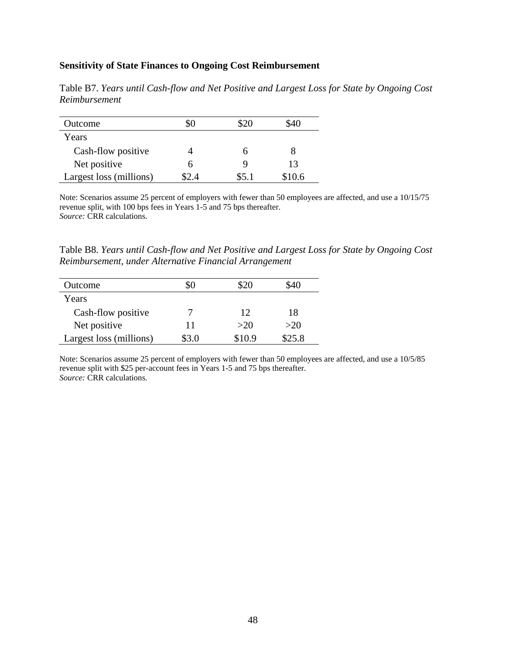#### **Sensitivity of State Finances to Ongoing Cost Reimbursement**

| Outcome                 |     | \$20  | \$40   |
|-------------------------|-----|-------|--------|
| Years                   |     |       |        |
| Cash-flow positive      |     |       |        |
| Net positive            | h   |       | 13     |
| Largest loss (millions) | 2.4 | \$5.1 | \$10.6 |

Table B7. *Years until Cash-flow and Net Positive and Largest Loss for State by Ongoing Cost Reimbursement*

Note: Scenarios assume 25 percent of employers with fewer than 50 employees are affected, and use a 10/15/75 revenue split, with 100 bps fees in Years 1-5 and 75 bps thereafter. *Source:* CRR calculations.

Table B8. *Years until Cash-flow and Net Positive and Largest Loss for State by Ongoing Cost Reimbursement, under Alternative Financial Arrangement*

| Outcome                 |       | \$20   | 540    |
|-------------------------|-------|--------|--------|
| Years                   |       |        |        |
| Cash-flow positive      |       | 12     | 18     |
| Net positive            | 11    | >20    | >20    |
| Largest loss (millions) | \$3.0 | \$10.9 | \$25.8 |

Note: Scenarios assume 25 percent of employers with fewer than 50 employees are affected, and use a 10/5/85 revenue split with \$25 per-account fees in Years 1-5 and 75 bps thereafter. *Source:* CRR calculations.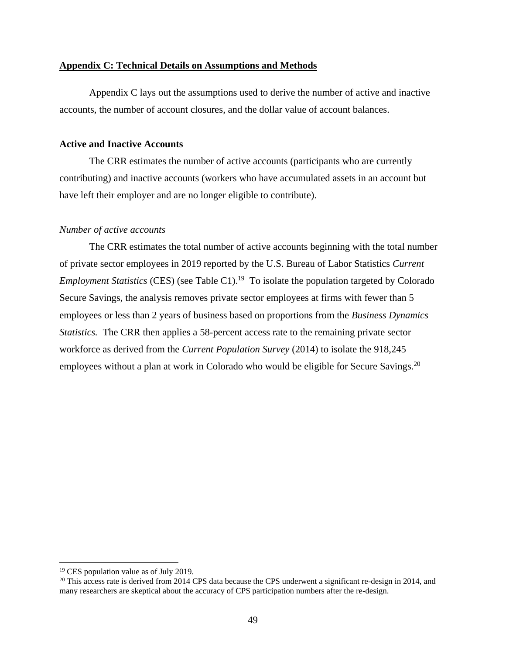#### **Appendix C: Technical Details on Assumptions and Methods**

Appendix C lays out the assumptions used to derive the number of active and inactive accounts, the number of account closures, and the dollar value of account balances.

#### **Active and Inactive Accounts**

The CRR estimates the number of active accounts (participants who are currently contributing) and inactive accounts (workers who have accumulated assets in an account but have left their employer and are no longer eligible to contribute).

#### *Number of active accounts*

The CRR estimates the total number of active accounts beginning with the total number of private sector employees in 2019 reported by the U.S. Bureau of Labor Statistics *Current Employment Statistics* (CES) (see Table C1).<sup>19</sup> To isolate the population targeted by Colorado Secure Savings, the analysis removes private sector employees at firms with fewer than 5 employees or less than 2 years of business based on proportions from the *Business Dynamics Statistics.* The CRR then applies a 58-percent access rate to the remaining private sector workforce as derived from the *Current Population Survey* (2014) to isolate the 918,245 employees without a plan at work in Colorado who would be eligible for Secure Savings.<sup>20</sup>

<sup>&</sup>lt;sup>19</sup> CES population value as of July 2019.

 $20$  This access rate is derived from 2014 CPS data because the CPS underwent a significant re-design in 2014, and many researchers are skeptical about the accuracy of CPS participation numbers after the re-design.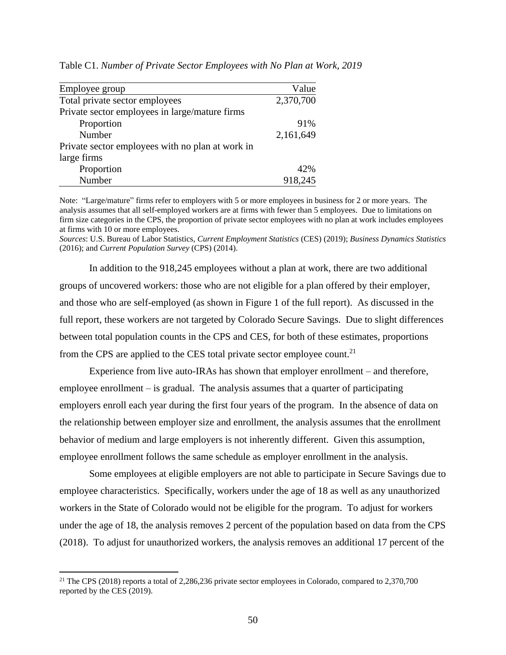| Employee group                                   | Value     |
|--------------------------------------------------|-----------|
| Total private sector employees                   | 2,370,700 |
| Private sector employees in large/mature firms   |           |
| Proportion                                       | 91%       |
| Number                                           | 2,161,649 |
| Private sector employees with no plan at work in |           |
| large firms                                      |           |
| Proportion                                       | 42%       |
| Number                                           | 918,245   |

Table C1. *Number of Private Sector Employees with No Plan at Work, 2019*

Note: "Large/mature" firms refer to employers with 5 or more employees in business for 2 or more years. The analysis assumes that all self-employed workers are at firms with fewer than 5 employees. Due to limitations on firm size categories in the CPS, the proportion of private sector employees with no plan at work includes employees at firms with 10 or more employees.

*Sources*: U.S. Bureau of Labor Statistics, *Current Employment Statistics* (CES) (2019); *Business Dynamics Statistics*  (2016); and *Current Population Survey* (CPS) (2014).

In addition to the 918,245 employees without a plan at work, there are two additional groups of uncovered workers: those who are not eligible for a plan offered by their employer, and those who are self-employed (as shown in Figure 1 of the full report). As discussed in the full report, these workers are not targeted by Colorado Secure Savings. Due to slight differences between total population counts in the CPS and CES, for both of these estimates, proportions from the CPS are applied to the CES total private sector employee count.<sup>21</sup>

Experience from live auto-IRAs has shown that employer enrollment – and therefore, employee enrollment – is gradual. The analysis assumes that a quarter of participating employers enroll each year during the first four years of the program. In the absence of data on the relationship between employer size and enrollment, the analysis assumes that the enrollment behavior of medium and large employers is not inherently different. Given this assumption, employee enrollment follows the same schedule as employer enrollment in the analysis.

Some employees at eligible employers are not able to participate in Secure Savings due to employee characteristics. Specifically, workers under the age of 18 as well as any unauthorized workers in the State of Colorado would not be eligible for the program. To adjust for workers under the age of 18, the analysis removes 2 percent of the population based on data from the CPS (2018). To adjust for unauthorized workers, the analysis removes an additional 17 percent of the

<sup>&</sup>lt;sup>21</sup> The CPS (2018) reports a total of 2,286,236 private sector employees in Colorado, compared to 2,370,700 reported by the CES (2019).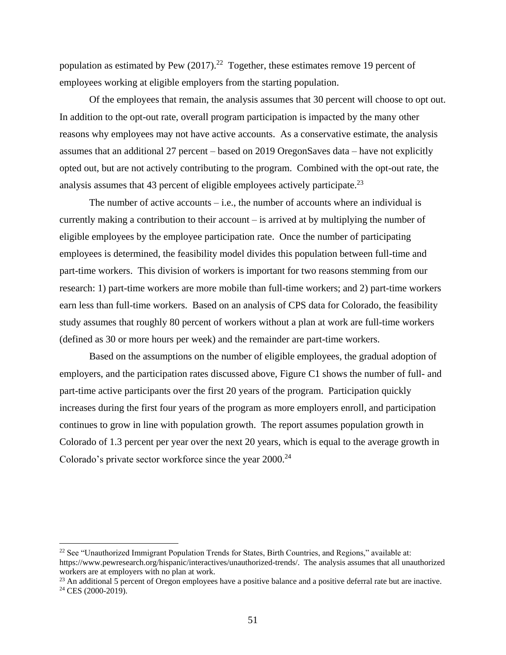population as estimated by Pew  $(2017).^{22}$  Together, these estimates remove 19 percent of employees working at eligible employers from the starting population.

Of the employees that remain, the analysis assumes that 30 percent will choose to opt out. In addition to the opt-out rate, overall program participation is impacted by the many other reasons why employees may not have active accounts. As a conservative estimate, the analysis assumes that an additional 27 percent – based on 2019 OregonSaves data – have not explicitly opted out, but are not actively contributing to the program. Combined with the opt-out rate, the analysis assumes that 43 percent of eligible employees actively participate.<sup>23</sup>

The number of active accounts  $-i.e.,$  the number of accounts where an individual is currently making a contribution to their account – is arrived at by multiplying the number of eligible employees by the employee participation rate. Once the number of participating employees is determined, the feasibility model divides this population between full-time and part-time workers. This division of workers is important for two reasons stemming from our research: 1) part-time workers are more mobile than full-time workers; and 2) part-time workers earn less than full-time workers. Based on an analysis of CPS data for Colorado, the feasibility study assumes that roughly 80 percent of workers without a plan at work are full-time workers (defined as 30 or more hours per week) and the remainder are part-time workers.

Based on the assumptions on the number of eligible employees, the gradual adoption of employers, and the participation rates discussed above, Figure C1 shows the number of full- and part-time active participants over the first 20 years of the program. Participation quickly increases during the first four years of the program as more employers enroll, and participation continues to grow in line with population growth. The report assumes population growth in Colorado of 1.3 percent per year over the next 20 years, which is equal to the average growth in Colorado's private sector workforce since the year 2000.<sup>24</sup>

 $\overline{\phantom{a}}$ 

<sup>23</sup> An additional 5 percent of Oregon employees have a positive balance and a positive deferral rate but are inactive.  $24$  CES (2000-2019).

<sup>&</sup>lt;sup>22</sup> See "Unauthorized Immigrant Population Trends for States, Birth Countries, and Regions," available at: https://www.pewresearch.org/hispanic/interactives/unauthorized-trends/. The analysis assumes that all unauthorized workers are at employers with no plan at work.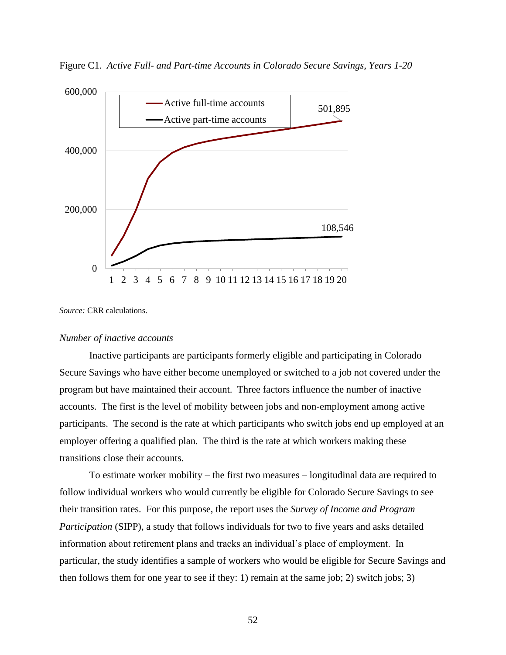Figure C1. *Active Full- and Part-time Accounts in Colorado Secure Savings, Years 1-20*



*Source:* CRR calculations.

#### *Number of inactive accounts*

Inactive participants are participants formerly eligible and participating in Colorado Secure Savings who have either become unemployed or switched to a job not covered under the program but have maintained their account. Three factors influence the number of inactive accounts. The first is the level of mobility between jobs and non-employment among active participants. The second is the rate at which participants who switch jobs end up employed at an employer offering a qualified plan. The third is the rate at which workers making these transitions close their accounts.

To estimate worker mobility – the first two measures – longitudinal data are required to follow individual workers who would currently be eligible for Colorado Secure Savings to see their transition rates. For this purpose, the report uses the *Survey of Income and Program Participation* (SIPP), a study that follows individuals for two to five years and asks detailed information about retirement plans and tracks an individual's place of employment. In particular, the study identifies a sample of workers who would be eligible for Secure Savings and then follows them for one year to see if they: 1) remain at the same job; 2) switch jobs; 3)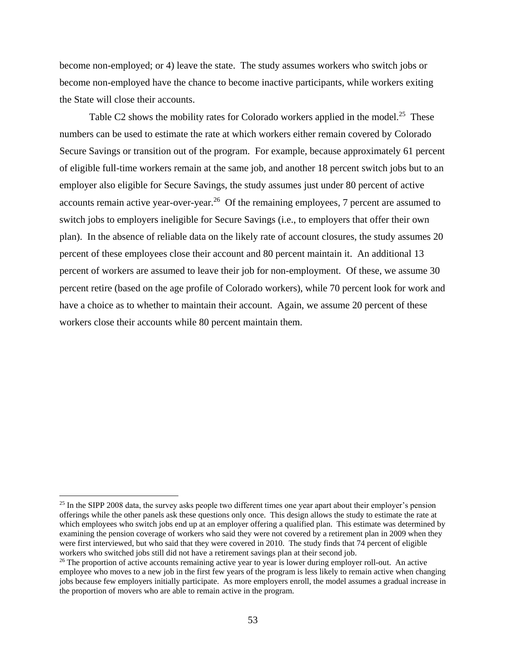become non-employed; or 4) leave the state. The study assumes workers who switch jobs or become non-employed have the chance to become inactive participants, while workers exiting the State will close their accounts.

Table C2 shows the mobility rates for Colorado workers applied in the model.<sup>25</sup> These numbers can be used to estimate the rate at which workers either remain covered by Colorado Secure Savings or transition out of the program. For example, because approximately 61 percent of eligible full-time workers remain at the same job, and another 18 percent switch jobs but to an employer also eligible for Secure Savings, the study assumes just under 80 percent of active accounts remain active year-over-year.<sup>26</sup> Of the remaining employees, 7 percent are assumed to switch jobs to employers ineligible for Secure Savings (i.e., to employers that offer their own plan). In the absence of reliable data on the likely rate of account closures, the study assumes 20 percent of these employees close their account and 80 percent maintain it. An additional 13 percent of workers are assumed to leave their job for non-employment. Of these, we assume 30 percent retire (based on the age profile of Colorado workers), while 70 percent look for work and have a choice as to whether to maintain their account. Again, we assume 20 percent of these workers close their accounts while 80 percent maintain them.

<sup>&</sup>lt;sup>25</sup> In the SIPP 2008 data, the survey asks people two different times one year apart about their employer's pension offerings while the other panels ask these questions only once. This design allows the study to estimate the rate at which employees who switch jobs end up at an employer offering a qualified plan. This estimate was determined by examining the pension coverage of workers who said they were not covered by a retirement plan in 2009 when they were first interviewed, but who said that they were covered in 2010. The study finds that 74 percent of eligible workers who switched jobs still did not have a retirement savings plan at their second job.

<sup>&</sup>lt;sup>26</sup> The proportion of active accounts remaining active year to year is lower during employer roll-out. An active employee who moves to a new job in the first few years of the program is less likely to remain active when changing jobs because few employers initially participate. As more employers enroll, the model assumes a gradual increase in the proportion of movers who are able to remain active in the program.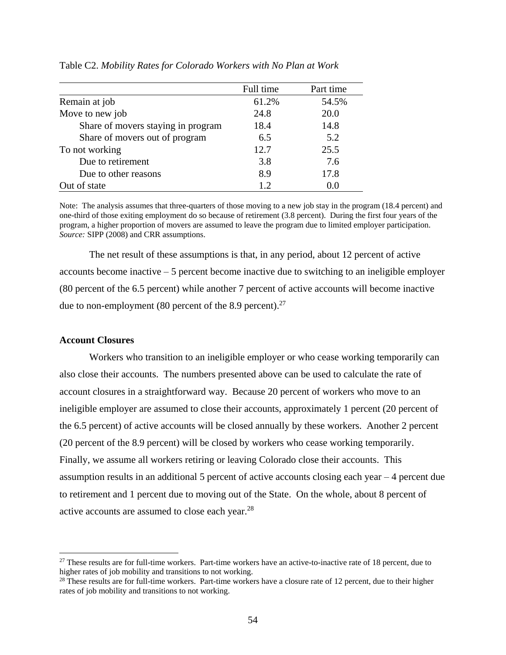|                                    | Full time | Part time |
|------------------------------------|-----------|-----------|
| Remain at job                      | 61.2%     | 54.5%     |
| Move to new job                    | 24.8      | 20.0      |
| Share of movers staying in program | 18.4      | 14.8      |
| Share of movers out of program     | 6.5       | 5.2       |
| To not working                     | 12.7      | 25.5      |
| Due to retirement                  | 3.8       | 7.6       |
| Due to other reasons               | 8.9       | 17.8      |
| Out of state                       | 12        | 0.0       |

Table C2. *Mobility Rates for Colorado Workers with No Plan at Work*

Note: The analysis assumes that three-quarters of those moving to a new job stay in the program (18.4 percent) and one-third of those exiting employment do so because of retirement (3.8 percent). During the first four years of the program, a higher proportion of movers are assumed to leave the program due to limited employer participation. *Source:* SIPP (2008) and CRR assumptions.

The net result of these assumptions is that, in any period, about 12 percent of active accounts become inactive – 5 percent become inactive due to switching to an ineligible employer (80 percent of the 6.5 percent) while another 7 percent of active accounts will become inactive due to non-employment (80 percent of the 8.9 percent). $27$ 

## **Account Closures**

 $\overline{\phantom{a}}$ 

Workers who transition to an ineligible employer or who cease working temporarily can also close their accounts. The numbers presented above can be used to calculate the rate of account closures in a straightforward way. Because 20 percent of workers who move to an ineligible employer are assumed to close their accounts, approximately 1 percent (20 percent of the 6.5 percent) of active accounts will be closed annually by these workers. Another 2 percent (20 percent of the 8.9 percent) will be closed by workers who cease working temporarily. Finally, we assume all workers retiring or leaving Colorado close their accounts. This assumption results in an additional 5 percent of active accounts closing each year – 4 percent due to retirement and 1 percent due to moving out of the State. On the whole, about 8 percent of active accounts are assumed to close each year.<sup>28</sup>

 $27$  These results are for full-time workers. Part-time workers have an active-to-inactive rate of 18 percent, due to higher rates of job mobility and transitions to not working.

<sup>&</sup>lt;sup>28</sup> These results are for full-time workers. Part-time workers have a closure rate of 12 percent, due to their higher rates of job mobility and transitions to not working.